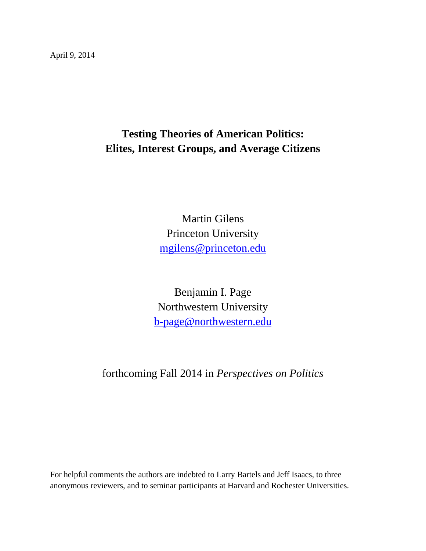April 9, 2014

# **Testing Theories of American Politics: Elites, Interest Groups, and Average Citizens**

Martin Gilens Princeton University mgilens@princeton.edu

Benjamin I. Page Northwestern University b-page@northwestern.edu

forthcoming Fall 2014 in *Perspectives on Politics*

For helpful comments the authors are indebted to Larry Bartels and Jeff Isaacs, to three anonymous reviewers, and to seminar participants at Harvard and Rochester Universities.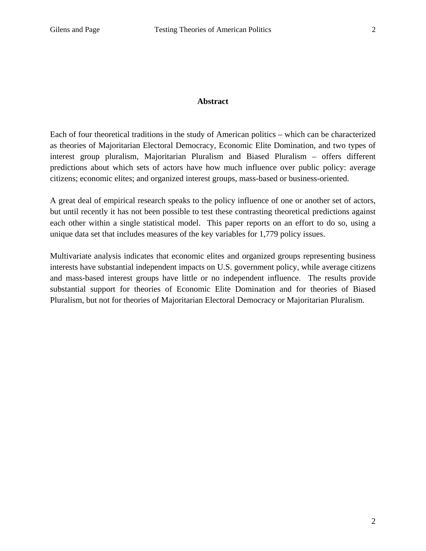### **Abstract**

Each of four theoretical traditions in the study of American politics – which can be characterized as theories of Majoritarian Electoral Democracy, Economic Elite Domination, and two types of interest group pluralism, Majoritarian Pluralism and Biased Pluralism – offers different predictions about which sets of actors have how much influence over public policy: average citizens; economic elites; and organized interest groups, mass-based or business-oriented.

A great deal of empirical research speaks to the policy influence of one or another set of actors, but until recently it has not been possible to test these contrasting theoretical predictions against each other within a single statistical model. This paper reports on an effort to do so, using a unique data set that includes measures of the key variables for 1,779 policy issues.

Multivariate analysis indicates that economic elites and organized groups representing business interests have substantial independent impacts on U.S. government policy, while average citizens and mass-based interest groups have little or no independent influence. The results provide substantial support for theories of Economic Elite Domination and for theories of Biased Pluralism, but not for theories of Majoritarian Electoral Democracy or Majoritarian Pluralism.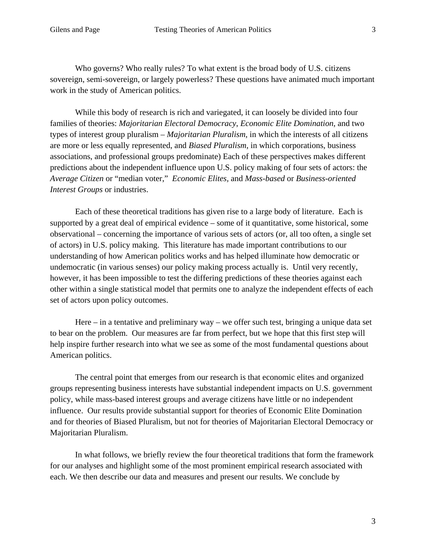Who governs? Who really rules? To what extent is the broad body of U.S. citizens sovereign, semi-sovereign, or largely powerless? These questions have animated much important work in the study of American politics.

While this body of research is rich and variegated, it can loosely be divided into four families of theories: *Majoritarian Electoral Democracy*, *Economic Elite Domination*, and two types of interest group pluralism – *Majoritarian Pluralism*, in which the interests of all citizens are more or less equally represented, and *Biased Pluralism*, in which corporations, business associations, and professional groups predominate) Each of these perspectives makes different predictions about the independent influence upon U.S. policy making of four sets of actors: the *Average Citizen* or "median voter," *Economic Elites,* and *Mass-based* or *Business-oriented Interest Groups* or industries.

 Each of these theoretical traditions has given rise to a large body of literature. Each is supported by a great deal of empirical evidence – some of it quantitative, some historical, some observational – concerning the importance of various sets of actors (or, all too often, a single set of actors) in U.S. policy making. This literature has made important contributions to our understanding of how American politics works and has helped illuminate how democratic or undemocratic (in various senses) our policy making process actually is. Until very recently, however, it has been impossible to test the differing predictions of these theories against each other within a single statistical model that permits one to analyze the independent effects of each set of actors upon policy outcomes.

Here – in a tentative and preliminary way – we offer such test, bringing a unique data set to bear on the problem. Our measures are far from perfect, but we hope that this first step will help inspire further research into what we see as some of the most fundamental questions about American politics.

The central point that emerges from our research is that economic elites and organized groups representing business interests have substantial independent impacts on U.S. government policy, while mass-based interest groups and average citizens have little or no independent influence. Our results provide substantial support for theories of Economic Elite Domination and for theories of Biased Pluralism, but not for theories of Majoritarian Electoral Democracy or Majoritarian Pluralism.

In what follows, we briefly review the four theoretical traditions that form the framework for our analyses and highlight some of the most prominent empirical research associated with each. We then describe our data and measures and present our results. We conclude by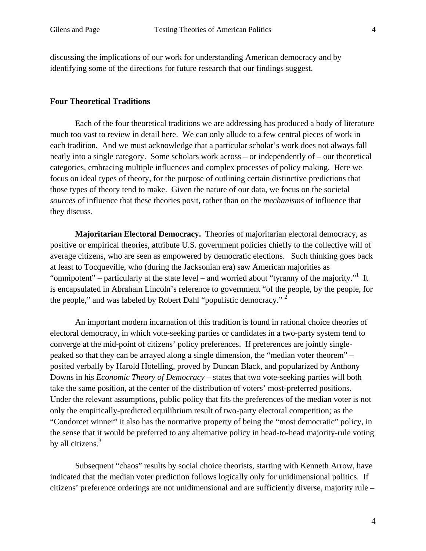discussing the implications of our work for understanding American democracy and by identifying some of the directions for future research that our findings suggest.

### **Four Theoretical Traditions**

Each of the four theoretical traditions we are addressing has produced a body of literature much too vast to review in detail here. We can only allude to a few central pieces of work in each tradition. And we must acknowledge that a particular scholar's work does not always fall neatly into a single category. Some scholars work across – or independently of – our theoretical categories, embracing multiple influences and complex processes of policy making. Here we focus on ideal types of theory, for the purpose of outlining certain distinctive predictions that those types of theory tend to make. Given the nature of our data, we focus on the societal *sources* of influence that these theories posit, rather than on the *mechanisms* of influence that they discuss.

**Majoritarian Electoral Democracy.** Theories of majoritarian electoral democracy, as positive or empirical theories, attribute U.S. government policies chiefly to the collective will of average citizens, who are seen as empowered by democratic elections. Such thinking goes back at least to Tocqueville, who (during the Jacksonian era) saw American majorities as "omnipotent" – particularly at the state level – and worried about "tyranny of the majority." It is encapsulated in Abraham Lincoln's reference to government "of the people, by the people, for the people," and was labeled by Robert Dahl "populistic democracy." <sup>2</sup>

An important modern incarnation of this tradition is found in rational choice theories of electoral democracy, in which vote-seeking parties or candidates in a two-party system tend to converge at the mid-point of citizens' policy preferences. If preferences are jointly singlepeaked so that they can be arrayed along a single dimension, the "median voter theorem" – posited verbally by Harold Hotelling, proved by Duncan Black, and popularized by Anthony Downs in his *Economic Theory of Democracy* – states that two vote-seeking parties will both take the same position, at the center of the distribution of voters' most-preferred positions. Under the relevant assumptions, public policy that fits the preferences of the median voter is not only the empirically-predicted equilibrium result of two-party electoral competition; as the "Condorcet winner" it also has the normative property of being the "most democratic" policy, in the sense that it would be preferred to any alternative policy in head-to-head majority-rule voting by all citizens.<sup>3</sup>

Subsequent "chaos" results by social choice theorists, starting with Kenneth Arrow, have indicated that the median voter prediction follows logically only for unidimensional politics. If citizens' preference orderings are not unidimensional and are sufficiently diverse, majority rule –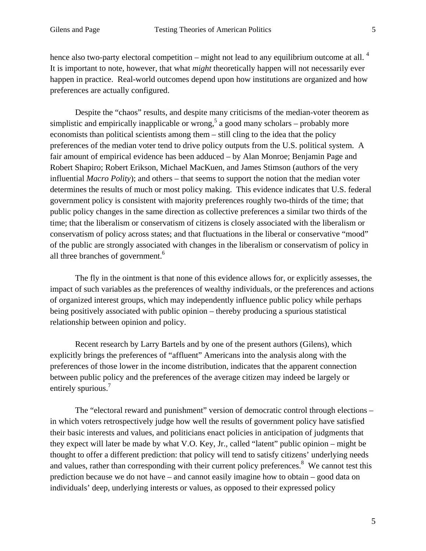hence also two-party electoral competition – might not lead to any equilibrium outcome at all.  $^4$ It is important to note, however, that what *might* theoretically happen will not necessarily ever happen in practice. Real-world outcomes depend upon how institutions are organized and how preferences are actually configured.

Despite the "chaos" results, and despite many criticisms of the median-voter theorem as simplistic and empirically inapplicable or wrong,<sup>5</sup> a good many scholars – probably more economists than political scientists among them – still cling to the idea that the policy preferences of the median voter tend to drive policy outputs from the U.S. political system. A fair amount of empirical evidence has been adduced – by Alan Monroe; Benjamin Page and Robert Shapiro; Robert Erikson, Michael MacKuen, and James Stimson (authors of the very influential *Macro Polity*); and others – that seems to support the notion that the median voter determines the results of much or most policy making. This evidence indicates that U.S. federal government policy is consistent with majority preferences roughly two-thirds of the time; that public policy changes in the same direction as collective preferences a similar two thirds of the time; that the liberalism or conservatism of citizens is closely associated with the liberalism or conservatism of policy across states; and that fluctuations in the liberal or conservative "mood" of the public are strongly associated with changes in the liberalism or conservatism of policy in all three branches of government.<sup>6</sup>

The fly in the ointment is that none of this evidence allows for, or explicitly assesses, the impact of such variables as the preferences of wealthy individuals, or the preferences and actions of organized interest groups, which may independently influence public policy while perhaps being positively associated with public opinion – thereby producing a spurious statistical relationship between opinion and policy.

Recent research by Larry Bartels and by one of the present authors (Gilens), which explicitly brings the preferences of "affluent" Americans into the analysis along with the preferences of those lower in the income distribution, indicates that the apparent connection between public policy and the preferences of the average citizen may indeed be largely or entirely spurious.<sup>7</sup>

The "electoral reward and punishment" version of democratic control through elections – in which voters retrospectively judge how well the results of government policy have satisfied their basic interests and values, and politicians enact policies in anticipation of judgments that they expect will later be made by what V.O. Key, Jr., called "latent" public opinion – might be thought to offer a different prediction: that policy will tend to satisfy citizens' underlying needs and values, rather than corresponding with their current policy preferences. $8$  We cannot test this prediction because we do not have – and cannot easily imagine how to obtain – good data on individuals' deep, underlying interests or values, as opposed to their expressed policy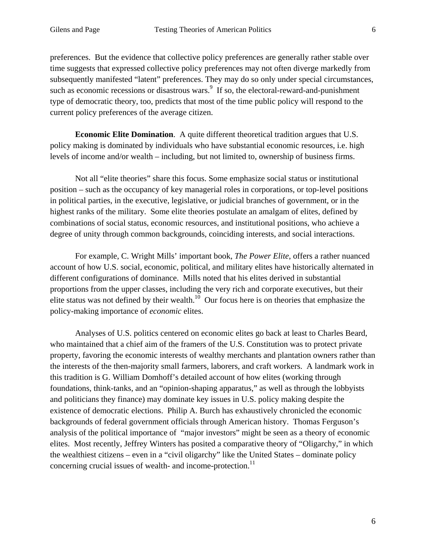preferences. But the evidence that collective policy preferences are generally rather stable over time suggests that expressed collective policy preferences may not often diverge markedly from subsequently manifested "latent" preferences. They may do so only under special circumstances, such as economic recessions or disastrous wars. $\frac{9}{15}$  If so, the electoral-reward-and-punishment type of democratic theory, too, predicts that most of the time public policy will respond to the current policy preferences of the average citizen.

**Economic Elite Domination**. A quite different theoretical tradition argues that U.S. policy making is dominated by individuals who have substantial economic resources, i.e. high levels of income and/or wealth – including, but not limited to, ownership of business firms.

Not all "elite theories" share this focus. Some emphasize social status or institutional position – such as the occupancy of key managerial roles in corporations, or top-level positions in political parties, in the executive, legislative, or judicial branches of government, or in the highest ranks of the military. Some elite theories postulate an amalgam of elites, defined by combinations of social status, economic resources, and institutional positions, who achieve a degree of unity through common backgrounds, coinciding interests, and social interactions.

For example, C. Wright Mills' important book, *The Power Elite*, offers a rather nuanced account of how U.S. social, economic, political, and military elites have historically alternated in different configurations of dominance. Mills noted that his elites derived in substantial proportions from the upper classes, including the very rich and corporate executives, but their elite status was not defined by their wealth. $10$  Our focus here is on theories that emphasize the policy-making importance of *economic* elites.

Analyses of U.S. politics centered on economic elites go back at least to Charles Beard, who maintained that a chief aim of the framers of the U.S. Constitution was to protect private property, favoring the economic interests of wealthy merchants and plantation owners rather than the interests of the then-majority small farmers, laborers, and craft workers. A landmark work in this tradition is G. William Domhoff's detailed account of how elites (working through foundations, think-tanks, and an "opinion-shaping apparatus," as well as through the lobbyists and politicians they finance) may dominate key issues in U.S. policy making despite the existence of democratic elections. Philip A. Burch has exhaustively chronicled the economic backgrounds of federal government officials through American history. Thomas Ferguson's analysis of the political importance of "major investors" might be seen as a theory of economic elites. Most recently, Jeffrey Winters has posited a comparative theory of "Oligarchy," in which the wealthiest citizens – even in a "civil oligarchy" like the United States – dominate policy concerning crucial issues of wealth- and income-protection. $^{11}$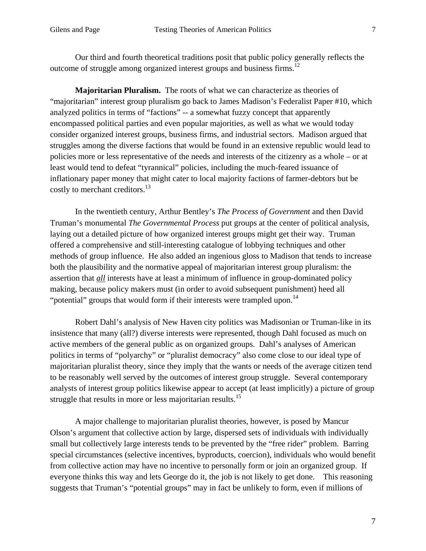Our third and fourth theoretical traditions posit that public policy generally reflects the outcome of struggle among organized interest groups and business firms.<sup>12</sup>

**Majoritarian Pluralism.** The roots of what we can characterize as theories of "majoritarian" interest group pluralism go back to James Madison's Federalist Paper #10, which analyzed politics in terms of "factions" -- a somewhat fuzzy concept that apparently encompassed political parties and even popular majorities, as well as what we would today consider organized interest groups, business firms, and industrial sectors. Madison argued that struggles among the diverse factions that would be found in an extensive republic would lead to policies more or less representative of the needs and interests of the citizenry as a whole – or at least would tend to defeat "tyrannical" policies, including the much-feared issuance of inflationary paper money that might cater to local majority factions of farmer-debtors but be costly to merchant creditors.<sup>13</sup>

In the twentieth century, Arthur Bentley's *The Process of Government* and then David Truman's monumental *The Governmental Process* put groups at the center of political analysis, laying out a detailed picture of how organized interest groups might get their way. Truman offered a comprehensive and still-interesting catalogue of lobbying techniques and other methods of group influence. He also added an ingenious gloss to Madison that tends to increase both the plausibility and the normative appeal of majoritarian interest group pluralism: the assertion that *all* interests have at least a minimum of influence in group-dominated policy making, because policy makers must (in order to avoid subsequent punishment) heed all "potential" groups that would form if their interests were trampled upon.<sup>14</sup>

Robert Dahl's analysis of New Haven city politics was Madisonian or Truman-like in its insistence that many (all?) diverse interests were represented, though Dahl focused as much on active members of the general public as on organized groups. Dahl's analyses of American politics in terms of "polyarchy" or "pluralist democracy" also come close to our ideal type of majoritarian pluralist theory, since they imply that the wants or needs of the average citizen tend to be reasonably well served by the outcomes of interest group struggle. Several contemporary analysts of interest group politics likewise appear to accept (at least implicitly) a picture of group struggle that results in more or less majoritarian results.<sup>15</sup>

A major challenge to majoritarian pluralist theories, however, is posed by Mancur Olson's argument that collective action by large, dispersed sets of individuals with individually small but collectively large interests tends to be prevented by the "free rider" problem. Barring special circumstances (selective incentives, byproducts, coercion), individuals who would benefit from collective action may have no incentive to personally form or join an organized group. If everyone thinks this way and lets George do it, the job is not likely to get done. This reasoning suggests that Truman's "potential groups" may in fact be unlikely to form, even if millions of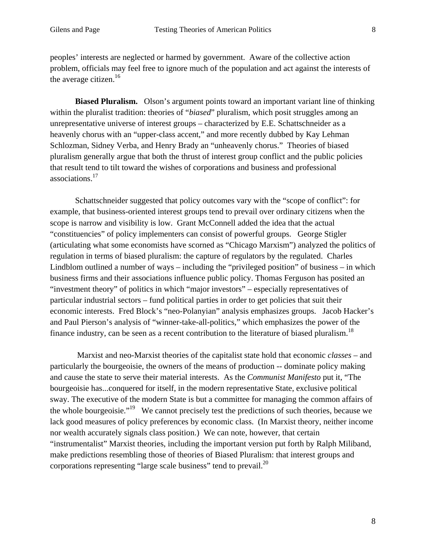peoples' interests are neglected or harmed by government. Aware of the collective action problem, officials may feel free to ignore much of the population and act against the interests of the average citizen. $16$ 

**Biased Pluralism.** Olson's argument points toward an important variant line of thinking within the pluralist tradition: theories of "*biased*" pluralism, which posit struggles among an unrepresentative universe of interest groups – characterized by E.E. Schattschneider as a heavenly chorus with an "upper-class accent," and more recently dubbed by Kay Lehman Schlozman, Sidney Verba, and Henry Brady an "unheavenly chorus." Theories of biased pluralism generally argue that both the thrust of interest group conflict and the public policies that result tend to tilt toward the wishes of corporations and business and professional associations.17

Schattschneider suggested that policy outcomes vary with the "scope of conflict": for example, that business-oriented interest groups tend to prevail over ordinary citizens when the scope is narrow and visibility is low. Grant McConnell added the idea that the actual "constituencies" of policy implementers can consist of powerful groups. George Stigler (articulating what some economists have scorned as "Chicago Marxism") analyzed the politics of regulation in terms of biased pluralism: the capture of regulators by the regulated. Charles Lindblom outlined a number of ways – including the "privileged position" of business – in which business firms and their associations influence public policy. Thomas Ferguson has posited an "investment theory" of politics in which "major investors" – especially representatives of particular industrial sectors – fund political parties in order to get policies that suit their economic interests. Fred Block's "neo-Polanyian" analysis emphasizes groups. Jacob Hacker's and Paul Pierson's analysis of "winner-take-all-politics," which emphasizes the power of the finance industry, can be seen as a recent contribution to the literature of biased pluralism.<sup>18</sup>

 Marxist and neo-Marxist theories of the capitalist state hold that economic *classes* – and particularly the bourgeoisie, the owners of the means of production -- dominate policy making and cause the state to serve their material interests. As the *Communist Manifesto* put it, "The bourgeoisie has...conquered for itself, in the modern representative State, exclusive political sway. The executive of the modern State is but a committee for managing the common affairs of the whole bourgeoisie."<sup>19</sup> We cannot precisely test the predictions of such theories, because we lack good measures of policy preferences by economic class. (In Marxist theory, neither income nor wealth accurately signals class position.) We can note, however, that certain "instrumentalist" Marxist theories, including the important version put forth by Ralph Miliband, make predictions resembling those of theories of Biased Pluralism: that interest groups and corporations representing "large scale business" tend to prevail. $^{20}$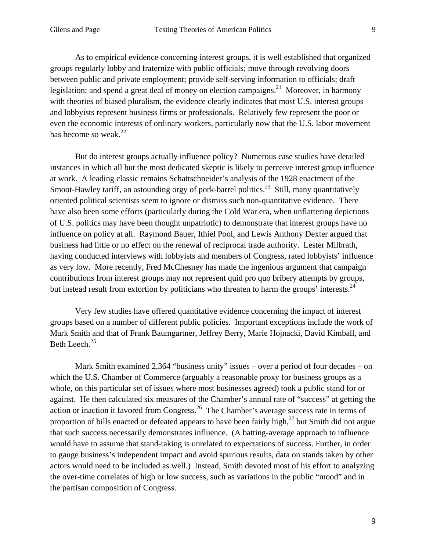As to empirical evidence concerning interest groups, it is well established that organized groups regularly lobby and fraternize with public officials; move through revolving doors between public and private employment; provide self-serving information to officials; draft legislation; and spend a great deal of money on election campaigns.<sup>21</sup> Moreover, in harmony with theories of biased pluralism, the evidence clearly indicates that most U.S. interest groups and lobbyists represent business firms or professionals. Relatively few represent the poor or even the economic interests of ordinary workers, particularly now that the U.S. labor movement has become so weak. $^{22}$ 

But do interest groups actually influence policy? Numerous case studies have detailed instances in which all but the most dedicated skeptic is likely to perceive interest group influence at work. A leading classic remains Schattschneider's analysis of the 1928 enactment of the Smoot-Hawley tariff, an astounding orgy of pork-barrel politics.<sup>23</sup> Still, many quantitatively oriented political scientists seem to ignore or dismiss such non-quantitative evidence. There have also been some efforts (particularly during the Cold War era, when unflattering depictions of U.S. politics may have been thought unpatriotic) to demonstrate that interest groups have no influence on policy at all. Raymond Bauer, Ithiel Pool, and Lewis Anthony Dexter argued that business had little or no effect on the renewal of reciprocal trade authority. Lester Milbrath, having conducted interviews with lobbyists and members of Congress, rated lobbyists' influence as very low. More recently, Fred McChesney has made the ingenious argument that campaign contributions from interest groups may not represent quid pro quo bribery attempts by groups, but instead result from extortion by politicians who threaten to harm the groups' interests. $^{24}$ 

Very few studies have offered quantitative evidence concerning the impact of interest groups based on a number of different public policies. Important exceptions include the work of Mark Smith and that of Frank Baumgartner, Jeffrey Berry, Marie Hojnacki, David Kimball, and Beth Leech.<sup>25</sup>

Mark Smith examined 2,364 "business unity" issues – over a period of four decades – on which the U.S. Chamber of Commerce (arguably a reasonable proxy for business groups as a whole, on this particular set of issues where most businesses agreed) took a public stand for or against. He then calculated six measures of the Chamber's annual rate of "success" at getting the action or inaction it favored from Congress.<sup>26</sup> The Chamber's average success rate in terms of proportion of bills enacted or defeated appears to have been fairly high,<sup>27</sup> but Smith did not argue that such success necessarily demonstrates influence. (A batting-average approach to influence would have to assume that stand-taking is unrelated to expectations of success. Further, in order to gauge business's independent impact and avoid spurious results, data on stands taken by other actors would need to be included as well.) Instead, Smith devoted most of his effort to analyzing the over-time correlates of high or low success, such as variations in the public "mood" and in the partisan composition of Congress.

9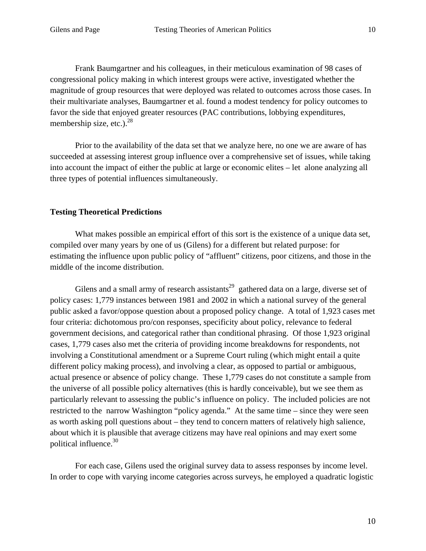Frank Baumgartner and his colleagues, in their meticulous examination of 98 cases of congressional policy making in which interest groups were active, investigated whether the magnitude of group resources that were deployed was related to outcomes across those cases. In their multivariate analyses, Baumgartner et al. found a modest tendency for policy outcomes to favor the side that enjoyed greater resources (PAC contributions, lobbying expenditures, membership size, etc.).<sup>28</sup>

 Prior to the availability of the data set that we analyze here, no one we are aware of has succeeded at assessing interest group influence over a comprehensive set of issues, while taking into account the impact of either the public at large or economic elites – let alone analyzing all three types of potential influences simultaneously.

### **Testing Theoretical Predictions**

 What makes possible an empirical effort of this sort is the existence of a unique data set, compiled over many years by one of us (Gilens) for a different but related purpose: for estimating the influence upon public policy of "affluent" citizens, poor citizens, and those in the middle of the income distribution.

Gilens and a small army of research assistants<sup>29</sup> gathered data on a large, diverse set of policy cases: 1,779 instances between 1981 and 2002 in which a national survey of the general public asked a favor/oppose question about a proposed policy change. A total of 1,923 cases met four criteria: dichotomous pro/con responses, specificity about policy, relevance to federal government decisions, and categorical rather than conditional phrasing. Of those 1,923 original cases, 1,779 cases also met the criteria of providing income breakdowns for respondents, not involving a Constitutional amendment or a Supreme Court ruling (which might entail a quite different policy making process), and involving a clear, as opposed to partial or ambiguous, actual presence or absence of policy change. These 1,779 cases do not constitute a sample from the universe of all possible policy alternatives (this is hardly conceivable), but we see them as particularly relevant to assessing the public's influence on policy. The included policies are not restricted to the narrow Washington "policy agenda." At the same time – since they were seen as worth asking poll questions about – they tend to concern matters of relatively high salience, about which it is plausible that average citizens may have real opinions and may exert some political influence.30

For each case, Gilens used the original survey data to assess responses by income level. In order to cope with varying income categories across surveys, he employed a quadratic logistic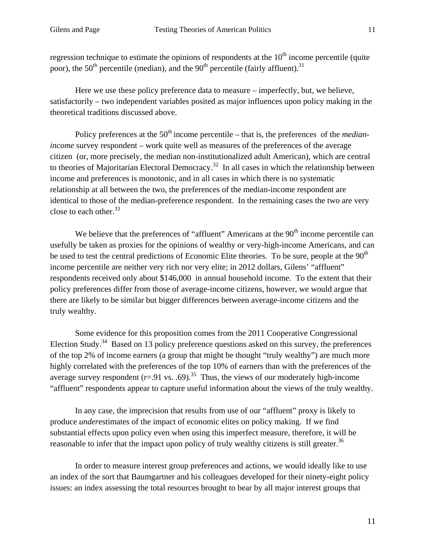regression technique to estimate the opinions of respondents at the  $10<sup>th</sup>$  income percentile (quite poor), the  $50<sup>th</sup>$  percentile (median), and the  $90<sup>th</sup>$  percentile (fairly affluent).<sup>31</sup>

 Here we use these policy preference data to measure – imperfectly, but, we believe, satisfactorily – two independent variables posited as major influences upon policy making in the theoretical traditions discussed above.

Policy preferences at the 50<sup>th</sup> income percentile – that is, the preferences of the *medianincome* survey respondent – work quite well as measures of the preferences of the average citizen (or, more precisely, the median non-institutionalized adult American), which are central to theories of Majoritarian Electoral Democracy.<sup>32</sup> In all cases in which the relationship between income and preferences is monotonic, and in all cases in which there is no systematic relationship at all between the two, the preferences of the median-income respondent are identical to those of the median-preference respondent. In the remaining cases the two are very close to each other. $33$ 

We believe that the preferences of "affluent" Americans at the  $90<sup>th</sup>$  income percentile can usefully be taken as proxies for the opinions of wealthy or very-high-income Americans, and can be used to test the central predictions of Economic Elite theories. To be sure, people at the 90<sup>th</sup> income percentile are neither very rich nor very elite; in 2012 dollars, Gilens' "affluent" respondents received only about \$146,000 in annual household income. To the extent that their policy preferences differ from those of average-income citizens, however, we would argue that there are likely to be similar but bigger differences between average-income citizens and the truly wealthy.

Some evidence for this proposition comes from the 2011 Cooperative Congressional Election Study.<sup>34</sup> Based on 13 policy preference questions asked on this survey, the preferences of the top 2% of income earners (a group that might be thought "truly wealthy") are much more highly correlated with the preferences of the top 10% of earners than with the preferences of the average survey respondent  $(r=.91 \text{ vs. } .69)$ .<sup>35</sup> Thus, the views of our moderately high-income "affluent" respondents appear to capture useful information about the views of the truly wealthy.

In any case, the imprecision that results from use of our "affluent" proxy is likely to produce *under*estimates of the impact of economic elites on policy making. If we find substantial effects upon policy even when using this imperfect measure, therefore, it will be reasonable to infer that the impact upon policy of truly wealthy citizens is still greater.<sup>36</sup>

In order to measure interest group preferences and actions, we would ideally like to use an index of the sort that Baumgartner and his colleagues developed for their ninety-eight policy issues: an index assessing the total resources brought to bear by all major interest groups that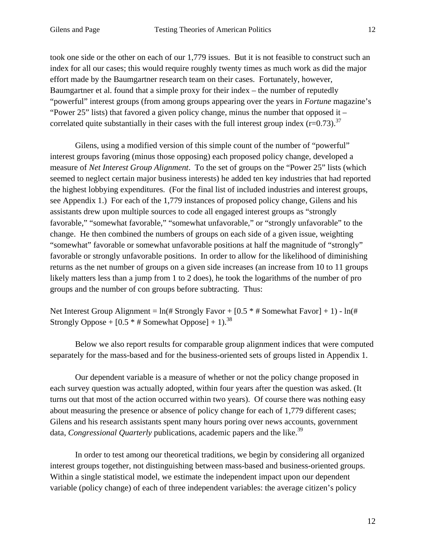took one side or the other on each of our 1,779 issues. But it is not feasible to construct such an index for all our cases; this would require roughly twenty times as much work as did the major effort made by the Baumgartner research team on their cases. Fortunately, however, Baumgartner et al. found that a simple proxy for their index – the number of reputedly "powerful" interest groups (from among groups appearing over the years in *Fortune* magazine's "Power 25" lists) that favored a given policy change, minus the number that opposed it – correlated quite substantially in their cases with the full interest group index  $(r=0.73)$ .<sup>37</sup>

Gilens, using a modified version of this simple count of the number of "powerful" interest groups favoring (minus those opposing) each proposed policy change, developed a measure of *Net Interest Group Alignment*. To the set of groups on the "Power 25" lists (which seemed to neglect certain major business interests) he added ten key industries that had reported the highest lobbying expenditures. (For the final list of included industries and interest groups, see Appendix 1.) For each of the 1,779 instances of proposed policy change, Gilens and his assistants drew upon multiple sources to code all engaged interest groups as "strongly favorable," "somewhat favorable," "somewhat unfavorable," or "strongly unfavorable" to the change. He then combined the numbers of groups on each side of a given issue, weighting "somewhat" favorable or somewhat unfavorable positions at half the magnitude of "strongly" favorable or strongly unfavorable positions. In order to allow for the likelihood of diminishing returns as the net number of groups on a given side increases (an increase from 10 to 11 groups likely matters less than a jump from 1 to 2 does), he took the logarithms of the number of pro groups and the number of con groups before subtracting. Thus:

Net Interest Group Alignment =  $ln($ # Strongly Favor +  $[0.5 * # Somewhat Favor] + 1) - ln($ # Strongly Oppose +  $[0.5 * # Somewhat Oppose] + 1$ .<sup>38</sup>

Below we also report results for comparable group alignment indices that were computed separately for the mass-based and for the business-oriented sets of groups listed in Appendix 1.

Our dependent variable is a measure of whether or not the policy change proposed in each survey question was actually adopted, within four years after the question was asked. (It turns out that most of the action occurred within two years). Of course there was nothing easy about measuring the presence or absence of policy change for each of 1,779 different cases; Gilens and his research assistants spent many hours poring over news accounts, government data, *Congressional Quarterly* publications, academic papers and the like.<sup>39</sup>

In order to test among our theoretical traditions, we begin by considering all organized interest groups together, not distinguishing between mass-based and business-oriented groups. Within a single statistical model, we estimate the independent impact upon our dependent variable (policy change) of each of three independent variables: the average citizen's policy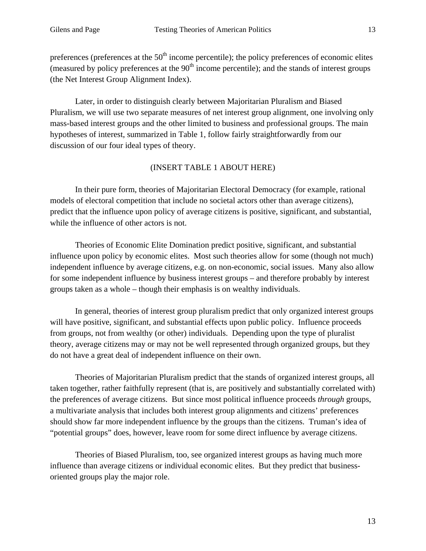preferences (preferences at the  $50<sup>th</sup>$  income percentile); the policy preferences of economic elites (measured by policy preferences at the  $90<sup>th</sup>$  income percentile); and the stands of interest groups (the Net Interest Group Alignment Index).

Later, in order to distinguish clearly between Majoritarian Pluralism and Biased Pluralism, we will use two separate measures of net interest group alignment, one involving only mass-based interest groups and the other limited to business and professional groups. The main hypotheses of interest, summarized in Table 1, follow fairly straightforwardly from our discussion of our four ideal types of theory.

### (INSERT TABLE 1 ABOUT HERE)

 In their pure form, theories of Majoritarian Electoral Democracy (for example, rational models of electoral competition that include no societal actors other than average citizens), predict that the influence upon policy of average citizens is positive, significant, and substantial, while the influence of other actors is not.

 Theories of Economic Elite Domination predict positive, significant, and substantial influence upon policy by economic elites. Most such theories allow for some (though not much) independent influence by average citizens, e.g. on non-economic, social issues. Many also allow for some independent influence by business interest groups – and therefore probably by interest groups taken as a whole – though their emphasis is on wealthy individuals.

In general, theories of interest group pluralism predict that only organized interest groups will have positive, significant, and substantial effects upon public policy. Influence proceeds from groups, not from wealthy (or other) individuals. Depending upon the type of pluralist theory, average citizens may or may not be well represented through organized groups, but they do not have a great deal of independent influence on their own.

 Theories of Majoritarian Pluralism predict that the stands of organized interest groups, all taken together, rather faithfully represent (that is, are positively and substantially correlated with) the preferences of average citizens. But since most political influence proceeds *through* groups, a multivariate analysis that includes both interest group alignments and citizens' preferences should show far more independent influence by the groups than the citizens. Truman's idea of "potential groups" does, however, leave room for some direct influence by average citizens.

 Theories of Biased Pluralism, too, see organized interest groups as having much more influence than average citizens or individual economic elites. But they predict that businessoriented groups play the major role.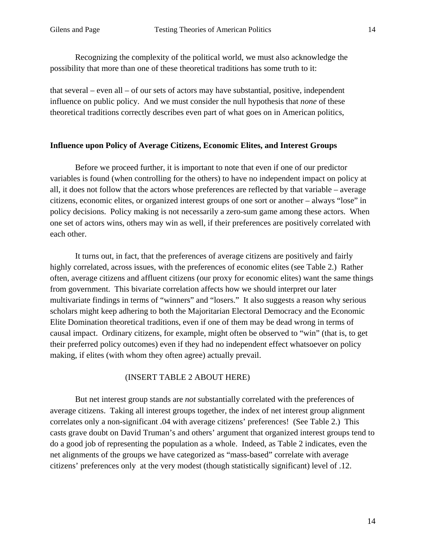Recognizing the complexity of the political world, we must also acknowledge the possibility that more than one of these theoretical traditions has some truth to it:

that several – even all – of our sets of actors may have substantial, positive, independent influence on public policy. And we must consider the null hypothesis that *none* of these theoretical traditions correctly describes even part of what goes on in American politics,

### **Influence upon Policy of Average Citizens, Economic Elites, and Interest Groups**

 Before we proceed further, it is important to note that even if one of our predictor variables is found (when controlling for the others) to have no independent impact on policy at all, it does not follow that the actors whose preferences are reflected by that variable – average citizens, economic elites, or organized interest groups of one sort or another – always "lose" in policy decisions. Policy making is not necessarily a zero-sum game among these actors. When one set of actors wins, others may win as well, if their preferences are positively correlated with each other.

It turns out, in fact, that the preferences of average citizens are positively and fairly highly correlated, across issues, with the preferences of economic elites (see Table 2.) Rather often, average citizens and affluent citizens (our proxy for economic elites) want the same things from government. This bivariate correlation affects how we should interpret our later multivariate findings in terms of "winners" and "losers." It also suggests a reason why serious scholars might keep adhering to both the Majoritarian Electoral Democracy and the Economic Elite Domination theoretical traditions, even if one of them may be dead wrong in terms of causal impact. Ordinary citizens, for example, might often be observed to "win" (that is, to get their preferred policy outcomes) even if they had no independent effect whatsoever on policy making, if elites (with whom they often agree) actually prevail.

### (INSERT TABLE 2 ABOUT HERE)

 But net interest group stands are *not* substantially correlated with the preferences of average citizens. Taking all interest groups together, the index of net interest group alignment correlates only a non-significant .04 with average citizens' preferences! (See Table 2.) This casts grave doubt on David Truman's and others' argument that organized interest groups tend to do a good job of representing the population as a whole. Indeed, as Table 2 indicates, even the net alignments of the groups we have categorized as "mass-based" correlate with average citizens' preferences only at the very modest (though statistically significant) level of .12.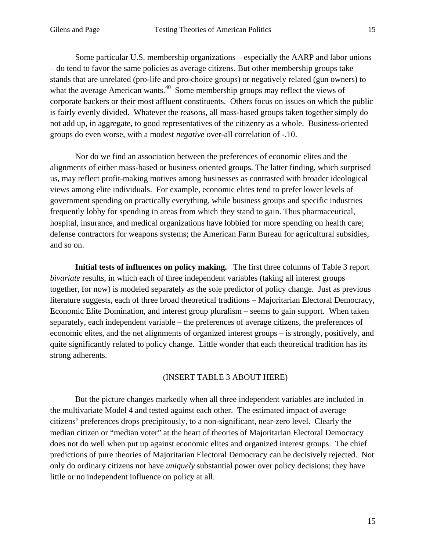Some particular U.S. membership organizations – especially the AARP and labor unions

– do tend to favor the same policies as average citizens. But other membership groups take stands that are unrelated (pro-life and pro-choice groups) or negatively related (gun owners) to what the average American wants.<sup>40</sup> Some membership groups may reflect the views of corporate backers or their most affluent constituents. Others focus on issues on which the public is fairly evenly divided. Whatever the reasons, all mass-based groups taken together simply do not add up, in aggregate, to good representatives of the citizenry as a whole. Business-oriented groups do even worse, with a modest *negative* over-all correlation of -.10.

Nor do we find an association between the preferences of economic elites and the alignments of either mass-based or business oriented groups. The latter finding, which surprised us, may reflect profit-making motives among businesses as contrasted with broader ideological views among elite individuals. For example, economic elites tend to prefer lower levels of government spending on practically everything, while business groups and specific industries frequently lobby for spending in areas from which they stand to gain. Thus pharmaceutical, hospital, insurance, and medical organizations have lobbied for more spending on health care; defense contractors for weapons systems; the American Farm Bureau for agricultural subsidies, and so on.

**Initial tests of influences on policy making.** The first three columns of Table 3 report *bivariate* results, in which each of three independent variables (taking all interest groups together, for now) is modeled separately as the sole predictor of policy change. Just as previous literature suggests, each of three broad theoretical traditions – Majoritarian Electoral Democracy, Economic Elite Domination, and interest group pluralism – seems to gain support. When taken separately, each independent variable – the preferences of average citizens, the preferences of economic elites, and the net alignments of organized interest groups – is strongly, positively, and quite significantly related to policy change. Little wonder that each theoretical tradition has its strong adherents.

### (INSERT TABLE 3 ABOUT HERE)

 But the picture changes markedly when all three independent variables are included in the multivariate Model 4 and tested against each other. The estimated impact of average citizens' preferences drops precipitously, to a non-significant, near-zero level. Clearly the median citizen or "median voter" at the heart of theories of Majoritarian Electoral Democracy does not do well when put up against economic elites and organized interest groups. The chief predictions of pure theories of Majoritarian Electoral Democracy can be decisively rejected. Not only do ordinary citizens not have *uniquely* substantial power over policy decisions; they have little or no independent influence on policy at all.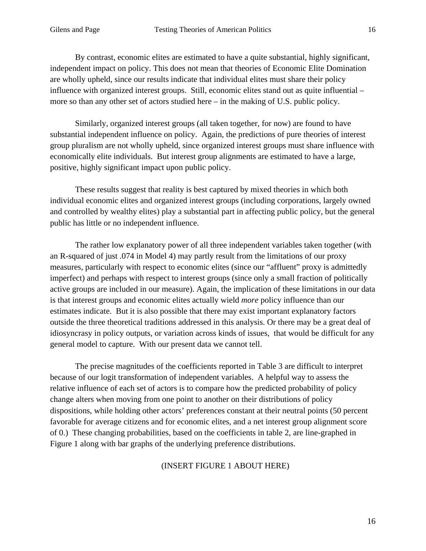By contrast, economic elites are estimated to have a quite substantial, highly significant, independent impact on policy. This does not mean that theories of Economic Elite Domination are wholly upheld, since our results indicate that individual elites must share their policy influence with organized interest groups. Still, economic elites stand out as quite influential – more so than any other set of actors studied here – in the making of U.S. public policy.

Similarly, organized interest groups (all taken together, for now) are found to have substantial independent influence on policy. Again, the predictions of pure theories of interest group pluralism are not wholly upheld, since organized interest groups must share influence with economically elite individuals. But interest group alignments are estimated to have a large, positive, highly significant impact upon public policy.

These results suggest that reality is best captured by mixed theories in which both individual economic elites and organized interest groups (including corporations, largely owned and controlled by wealthy elites) play a substantial part in affecting public policy, but the general public has little or no independent influence.

The rather low explanatory power of all three independent variables taken together (with an R-squared of just .074 in Model 4) may partly result from the limitations of our proxy measures, particularly with respect to economic elites (since our "affluent" proxy is admittedly imperfect) and perhaps with respect to interest groups (since only a small fraction of politically active groups are included in our measure). Again, the implication of these limitations in our data is that interest groups and economic elites actually wield *more* policy influence than our estimates indicate. But it is also possible that there may exist important explanatory factors outside the three theoretical traditions addressed in this analysis. Or there may be a great deal of idiosyncrasy in policy outputs, or variation across kinds of issues, that would be difficult for any general model to capture. With our present data we cannot tell.

The precise magnitudes of the coefficients reported in Table 3 are difficult to interpret because of our logit transformation of independent variables. A helpful way to assess the relative influence of each set of actors is to compare how the predicted probability of policy change alters when moving from one point to another on their distributions of policy dispositions, while holding other actors' preferences constant at their neutral points (50 percent favorable for average citizens and for economic elites, and a net interest group alignment score of 0.) These changing probabilities, based on the coefficients in table 2, are line-graphed in Figure 1 along with bar graphs of the underlying preference distributions.

# (INSERT FIGURE 1 ABOUT HERE)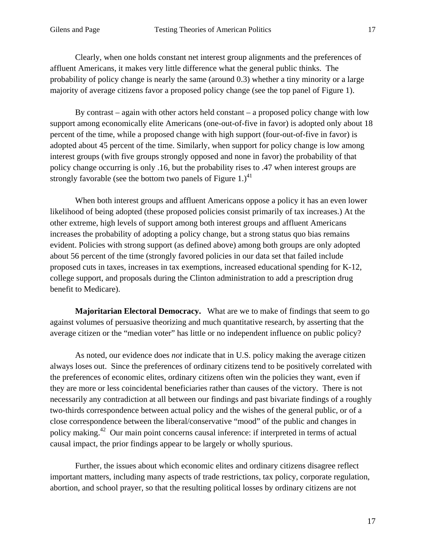Clearly, when one holds constant net interest group alignments and the preferences of affluent Americans, it makes very little difference what the general public thinks. The probability of policy change is nearly the same (around 0.3) whether a tiny minority or a large majority of average citizens favor a proposed policy change (see the top panel of Figure 1).

By contrast – again with other actors held constant – a proposed policy change with low support among economically elite Americans (one-out-of-five in favor) is adopted only about 18 percent of the time, while a proposed change with high support (four-out-of-five in favor) is adopted about 45 percent of the time. Similarly, when support for policy change is low among interest groups (with five groups strongly opposed and none in favor) the probability of that policy change occurring is only .16, but the probability rises to .47 when interest groups are strongly favorable (see the bottom two panels of Figure 1.)<sup>41</sup>

When both interest groups and affluent Americans oppose a policy it has an even lower likelihood of being adopted (these proposed policies consist primarily of tax increases.) At the other extreme, high levels of support among both interest groups and affluent Americans increases the probability of adopting a policy change, but a strong status quo bias remains evident. Policies with strong support (as defined above) among both groups are only adopted about 56 percent of the time (strongly favored policies in our data set that failed include proposed cuts in taxes, increases in tax exemptions, increased educational spending for K-12, college support, and proposals during the Clinton administration to add a prescription drug benefit to Medicare).

**Majoritarian Electoral Democracy.** What are we to make of findings that seem to go against volumes of persuasive theorizing and much quantitative research, by asserting that the average citizen or the "median voter" has little or no independent influence on public policy?

As noted, our evidence does *not* indicate that in U.S. policy making the average citizen always loses out. Since the preferences of ordinary citizens tend to be positively correlated with the preferences of economic elites, ordinary citizens often win the policies they want, even if they are more or less coincidental beneficiaries rather than causes of the victory. There is not necessarily any contradiction at all between our findings and past bivariate findings of a roughly two-thirds correspondence between actual policy and the wishes of the general public, or of a close correspondence between the liberal/conservative "mood" of the public and changes in policy making.42 Our main point concerns causal inference: if interpreted in terms of actual causal impact, the prior findings appear to be largely or wholly spurious.

Further, the issues about which economic elites and ordinary citizens disagree reflect important matters, including many aspects of trade restrictions, tax policy, corporate regulation, abortion, and school prayer, so that the resulting political losses by ordinary citizens are not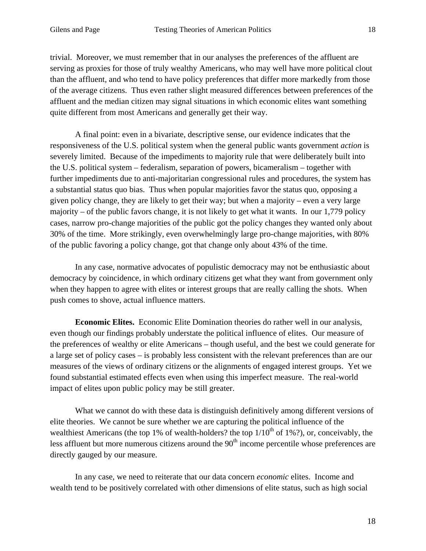trivial. Moreover, we must remember that in our analyses the preferences of the affluent are serving as proxies for those of truly wealthy Americans, who may well have more political clout than the affluent, and who tend to have policy preferences that differ more markedly from those of the average citizens. Thus even rather slight measured differences between preferences of the affluent and the median citizen may signal situations in which economic elites want something quite different from most Americans and generally get their way.

A final point: even in a bivariate, descriptive sense, our evidence indicates that the responsiveness of the U.S. political system when the general public wants government *action* is severely limited. Because of the impediments to majority rule that were deliberately built into the U.S. political system – federalism, separation of powers, bicameralism – together with further impediments due to anti-majoritarian congressional rules and procedures, the system has a substantial status quo bias. Thus when popular majorities favor the status quo, opposing a given policy change, they are likely to get their way; but when a majority – even a very large majority – of the public favors change, it is not likely to get what it wants. In our 1,779 policy cases, narrow pro-change majorities of the public got the policy changes they wanted only about 30% of the time. More strikingly, even overwhelmingly large pro-change majorities, with 80% of the public favoring a policy change, got that change only about 43% of the time.

In any case, normative advocates of populistic democracy may not be enthusiastic about democracy by coincidence, in which ordinary citizens get what they want from government only when they happen to agree with elites or interest groups that are really calling the shots. When push comes to shove, actual influence matters.

**Economic Elites.** Economic Elite Domination theories do rather well in our analysis, even though our findings probably understate the political influence of elites. Our measure of the preferences of wealthy or elite Americans – though useful, and the best we could generate for a large set of policy cases – is probably less consistent with the relevant preferences than are our measures of the views of ordinary citizens or the alignments of engaged interest groups. Yet we found substantial estimated effects even when using this imperfect measure. The real-world impact of elites upon public policy may be still greater.

What we cannot do with these data is distinguish definitively among different versions of elite theories. We cannot be sure whether we are capturing the political influence of the wealthiest Americans (the top 1% of wealth-holders? the top  $1/10^{th}$  of 1%?), or, conceivably, the less affluent but more numerous citizens around the  $90<sup>th</sup>$  income percentile whose preferences are directly gauged by our measure.

In any case, we need to reiterate that our data concern *economic* elites. Income and wealth tend to be positively correlated with other dimensions of elite status, such as high social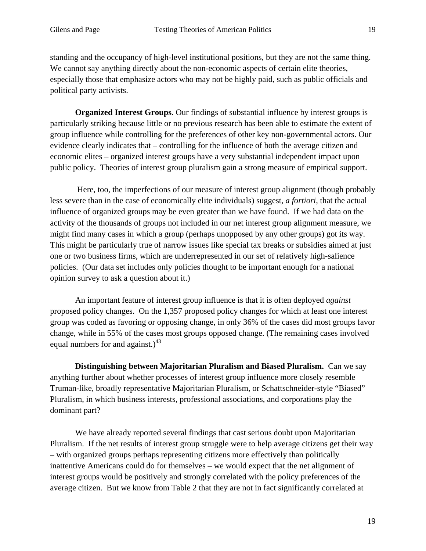standing and the occupancy of high-level institutional positions, but they are not the same thing. We cannot say anything directly about the non-economic aspects of certain elite theories, especially those that emphasize actors who may not be highly paid, such as public officials and political party activists.

**Organized Interest Groups**. Our findings of substantial influence by interest groups is particularly striking because little or no previous research has been able to estimate the extent of group influence while controlling for the preferences of other key non-governmental actors. Our evidence clearly indicates that – controlling for the influence of both the average citizen and economic elites – organized interest groups have a very substantial independent impact upon public policy. Theories of interest group pluralism gain a strong measure of empirical support.

 Here, too, the imperfections of our measure of interest group alignment (though probably less severe than in the case of economically elite individuals) suggest, *a fortiori*, that the actual influence of organized groups may be even greater than we have found. If we had data on the activity of the thousands of groups not included in our net interest group alignment measure, we might find many cases in which a group (perhaps unopposed by any other groups) got its way. This might be particularly true of narrow issues like special tax breaks or subsidies aimed at just one or two business firms, which are underrepresented in our set of relatively high-salience policies. (Our data set includes only policies thought to be important enough for a national opinion survey to ask a question about it.)

An important feature of interest group influence is that it is often deployed *against*  proposed policy changes. On the 1,357 proposed policy changes for which at least one interest group was coded as favoring or opposing change, in only 36% of the cases did most groups favor change, while in 55% of the cases most groups opposed change. (The remaining cases involved equal numbers for and against.) $43$ 

**Distinguishing between Majoritarian Pluralism and Biased Pluralism.** Can we say anything further about whether processes of interest group influence more closely resemble Truman-like, broadly representative Majoritarian Pluralism, or Schattschneider-style "Biased" Pluralism, in which business interests, professional associations, and corporations play the dominant part?

We have already reported several findings that cast serious doubt upon Majoritarian Pluralism. If the net results of interest group struggle were to help average citizens get their way – with organized groups perhaps representing citizens more effectively than politically inattentive Americans could do for themselves – we would expect that the net alignment of interest groups would be positively and strongly correlated with the policy preferences of the average citizen. But we know from Table 2 that they are not in fact significantly correlated at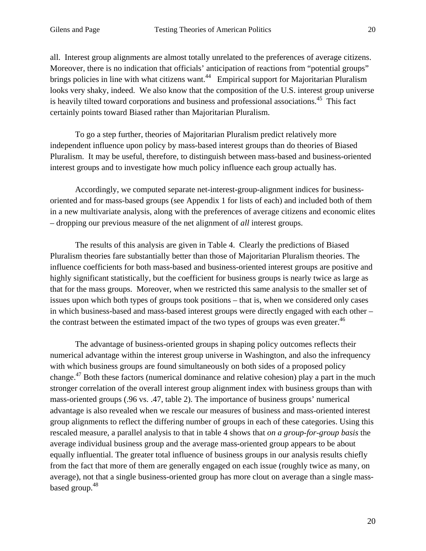all. Interest group alignments are almost totally unrelated to the preferences of average citizens. Moreover, there is no indication that officials' anticipation of reactions from "potential groups" brings policies in line with what citizens want.<sup>44</sup> Empirical support for Majoritarian Pluralism looks very shaky, indeed. We also know that the composition of the U.S. interest group universe is heavily tilted toward corporations and business and professional associations.<sup>45</sup> This fact certainly points toward Biased rather than Majoritarian Pluralism.

To go a step further, theories of Majoritarian Pluralism predict relatively more independent influence upon policy by mass-based interest groups than do theories of Biased Pluralism. It may be useful, therefore, to distinguish between mass-based and business-oriented interest groups and to investigate how much policy influence each group actually has.

Accordingly, we computed separate net-interest-group-alignment indices for businessoriented and for mass-based groups (see Appendix 1 for lists of each) and included both of them in a new multivariate analysis, along with the preferences of average citizens and economic elites – dropping our previous measure of the net alignment of *all* interest groups.

The results of this analysis are given in Table 4. Clearly the predictions of Biased Pluralism theories fare substantially better than those of Majoritarian Pluralism theories. The influence coefficients for both mass-based and business-oriented interest groups are positive and highly significant statistically, but the coefficient for business groups is nearly twice as large as that for the mass groups. Moreover, when we restricted this same analysis to the smaller set of issues upon which both types of groups took positions – that is, when we considered only cases in which business-based and mass-based interest groups were directly engaged with each other – the contrast between the estimated impact of the two types of groups was even greater.<sup>46</sup>

The advantage of business-oriented groups in shaping policy outcomes reflects their numerical advantage within the interest group universe in Washington, and also the infrequency with which business groups are found simultaneously on both sides of a proposed policy change.47 Both these factors (numerical dominance and relative cohesion) play a part in the much stronger correlation of the overall interest group alignment index with business groups than with mass-oriented groups (.96 vs. .47, table 2). The importance of business groups' numerical advantage is also revealed when we rescale our measures of business and mass-oriented interest group alignments to reflect the differing number of groups in each of these categories. Using this rescaled measure, a parallel analysis to that in table 4 shows that *on a group-for-group basis* the average individual business group and the average mass-oriented group appears to be about equally influential. The greater total influence of business groups in our analysis results chiefly from the fact that more of them are generally engaged on each issue (roughly twice as many, on average), not that a single business-oriented group has more clout on average than a single massbased group.<sup>48</sup>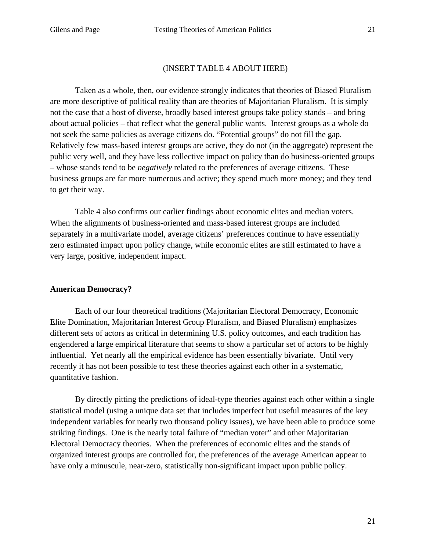### (INSERT TABLE 4 ABOUT HERE)

Taken as a whole, then, our evidence strongly indicates that theories of Biased Pluralism are more descriptive of political reality than are theories of Majoritarian Pluralism. It is simply not the case that a host of diverse, broadly based interest groups take policy stands – and bring about actual policies – that reflect what the general public wants. Interest groups as a whole do not seek the same policies as average citizens do. "Potential groups" do not fill the gap. Relatively few mass-based interest groups are active, they do not (in the aggregate) represent the public very well, and they have less collective impact on policy than do business-oriented groups – whose stands tend to be *negatively* related to the preferences of average citizens. These business groups are far more numerous and active; they spend much more money; and they tend to get their way.

Table 4 also confirms our earlier findings about economic elites and median voters. When the alignments of business-oriented and mass-based interest groups are included separately in a multivariate model, average citizens' preferences continue to have essentially zero estimated impact upon policy change, while economic elites are still estimated to have a very large, positive, independent impact.

### **American Democracy?**

Each of our four theoretical traditions (Majoritarian Electoral Democracy, Economic Elite Domination, Majoritarian Interest Group Pluralism, and Biased Pluralism) emphasizes different sets of actors as critical in determining U.S. policy outcomes, and each tradition has engendered a large empirical literature that seems to show a particular set of actors to be highly influential. Yet nearly all the empirical evidence has been essentially bivariate. Until very recently it has not been possible to test these theories against each other in a systematic, quantitative fashion.

 By directly pitting the predictions of ideal-type theories against each other within a single statistical model (using a unique data set that includes imperfect but useful measures of the key independent variables for nearly two thousand policy issues), we have been able to produce some striking findings. One is the nearly total failure of "median voter" and other Majoritarian Electoral Democracy theories. When the preferences of economic elites and the stands of organized interest groups are controlled for, the preferences of the average American appear to have only a minuscule, near-zero, statistically non-significant impact upon public policy.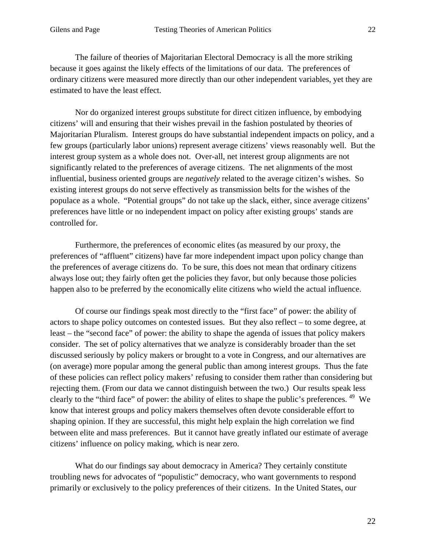The failure of theories of Majoritarian Electoral Democracy is all the more striking because it goes against the likely effects of the limitations of our data. The preferences of ordinary citizens were measured more directly than our other independent variables, yet they are estimated to have the least effect.

Nor do organized interest groups substitute for direct citizen influence, by embodying citizens' will and ensuring that their wishes prevail in the fashion postulated by theories of Majoritarian Pluralism. Interest groups do have substantial independent impacts on policy, and a few groups (particularly labor unions) represent average citizens' views reasonably well. But the interest group system as a whole does not. Over-all, net interest group alignments are not significantly related to the preferences of average citizens. The net alignments of the most influential, business oriented groups are *negatively* related to the average citizen's wishes. So existing interest groups do not serve effectively as transmission belts for the wishes of the populace as a whole. "Potential groups" do not take up the slack, either, since average citizens' preferences have little or no independent impact on policy after existing groups' stands are controlled for.

Furthermore, the preferences of economic elites (as measured by our proxy, the preferences of "affluent" citizens) have far more independent impact upon policy change than the preferences of average citizens do. To be sure, this does not mean that ordinary citizens always lose out; they fairly often get the policies they favor, but only because those policies happen also to be preferred by the economically elite citizens who wield the actual influence.

Of course our findings speak most directly to the "first face" of power: the ability of actors to shape policy outcomes on contested issues. But they also reflect – to some degree, at least – the "second face" of power: the ability to shape the agenda of issues that policy makers consider. The set of policy alternatives that we analyze is considerably broader than the set discussed seriously by policy makers or brought to a vote in Congress, and our alternatives are (on average) more popular among the general public than among interest groups. Thus the fate of these policies can reflect policy makers' refusing to consider them rather than considering but rejecting them. (From our data we cannot distinguish between the two.) Our results speak less clearly to the "third face" of power: the ability of elites to shape the public's preferences. <sup>49</sup> We know that interest groups and policy makers themselves often devote considerable effort to shaping opinion. If they are successful, this might help explain the high correlation we find between elite and mass preferences. But it cannot have greatly inflated our estimate of average citizens' influence on policy making, which is near zero.

What do our findings say about democracy in America? They certainly constitute troubling news for advocates of "populistic" democracy, who want governments to respond primarily or exclusively to the policy preferences of their citizens. In the United States, our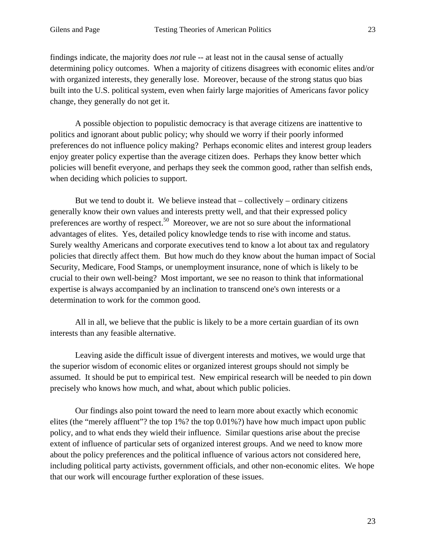findings indicate, the majority does *not* rule -- at least not in the causal sense of actually determining policy outcomes. When a majority of citizens disagrees with economic elites and/or with organized interests, they generally lose. Moreover, because of the strong status quo bias built into the U.S. political system, even when fairly large majorities of Americans favor policy change, they generally do not get it.

A possible objection to populistic democracy is that average citizens are inattentive to politics and ignorant about public policy; why should we worry if their poorly informed preferences do not influence policy making? Perhaps economic elites and interest group leaders enjoy greater policy expertise than the average citizen does. Perhaps they know better which policies will benefit everyone, and perhaps they seek the common good, rather than selfish ends, when deciding which policies to support.

But we tend to doubt it. We believe instead that  $-$  collectively  $-$  ordinary citizens generally know their own values and interests pretty well, and that their expressed policy preferences are worthy of respect.<sup>50</sup> Moreover, we are not so sure about the informational advantages of elites. Yes, detailed policy knowledge tends to rise with income and status. Surely wealthy Americans and corporate executives tend to know a lot about tax and regulatory policies that directly affect them. But how much do they know about the human impact of Social Security, Medicare, Food Stamps, or unemployment insurance, none of which is likely to be crucial to their own well-being? Most important, we see no reason to think that informational expertise is always accompanied by an inclination to transcend one's own interests or a determination to work for the common good.

All in all, we believe that the public is likely to be a more certain guardian of its own interests than any feasible alternative.

Leaving aside the difficult issue of divergent interests and motives, we would urge that the superior wisdom of economic elites or organized interest groups should not simply be assumed. It should be put to empirical test. New empirical research will be needed to pin down precisely who knows how much, and what, about which public policies.

Our findings also point toward the need to learn more about exactly which economic elites (the "merely affluent"? the top 1%? the top 0.01%?) have how much impact upon public policy, and to what ends they wield their influence. Similar questions arise about the precise extent of influence of particular sets of organized interest groups. And we need to know more about the policy preferences and the political influence of various actors not considered here, including political party activists, government officials, and other non-economic elites. We hope that our work will encourage further exploration of these issues.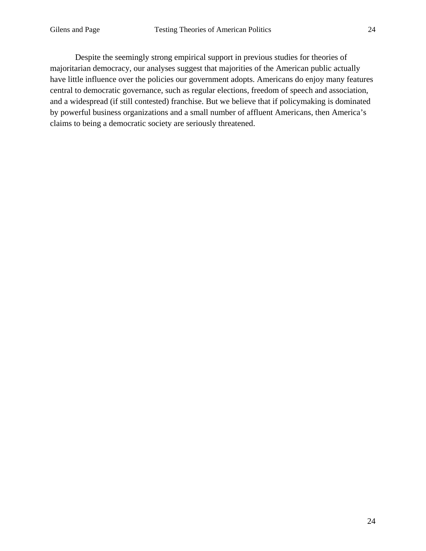Despite the seemingly strong empirical support in previous studies for theories of majoritarian democracy, our analyses suggest that majorities of the American public actually have little influence over the policies our government adopts. Americans do enjoy many features central to democratic governance, such as regular elections, freedom of speech and association, and a widespread (if still contested) franchise. But we believe that if policymaking is dominated by powerful business organizations and a small number of affluent Americans, then America's claims to being a democratic society are seriously threatened.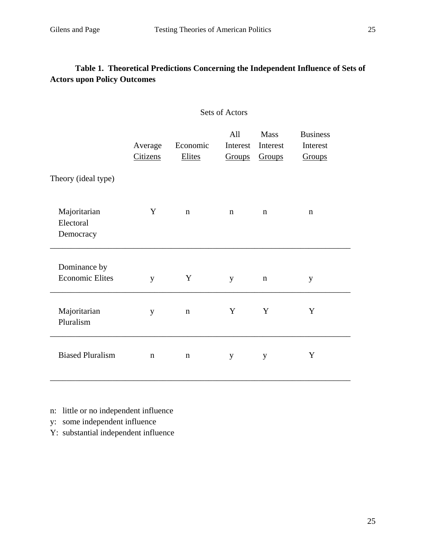# **Table 1. Theoretical Predictions Concerning the Independent Influence of Sets of Actors upon Policy Outcomes**

|                                        | Sets of Actors             |                    |                           |                            |                                       |  |
|----------------------------------------|----------------------------|--------------------|---------------------------|----------------------------|---------------------------------------|--|
|                                        | Average<br><b>Citizens</b> | Economic<br>Elites | All<br>Interest<br>Groups | Mass<br>Interest<br>Groups | <b>Business</b><br>Interest<br>Groups |  |
| Theory (ideal type)                    |                            |                    |                           |                            |                                       |  |
| Majoritarian<br>Electoral<br>Democracy | Y                          | $\mathbf n$        | $\mathbf n$               | $\mathbf n$                | $\mathbf n$                           |  |
| Dominance by<br><b>Economic Elites</b> | y                          | Y                  | y                         | $\mathbf n$                | y                                     |  |
| Majoritarian<br>Pluralism              | y                          | $\mathbf n$        | Y                         | Y                          | Y                                     |  |
| <b>Biased Pluralism</b>                | $\mathbf n$                | $\mathbf n$        | y                         | y                          | Y                                     |  |

\_\_\_\_\_\_\_\_\_\_\_\_\_\_\_\_\_\_\_\_\_\_\_\_\_\_\_\_\_\_\_\_\_\_\_\_\_\_\_\_\_\_\_\_\_\_\_\_\_\_\_\_\_\_\_\_\_\_\_\_\_\_\_\_\_\_\_\_\_\_\_\_

n: little or no independent influence

y: some independent influence

Y: substantial independent influence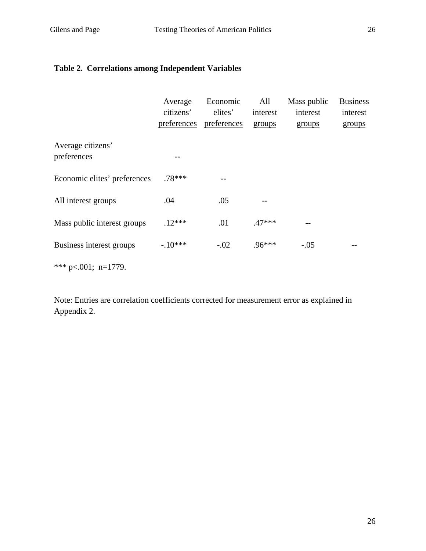# **Table 2. Correlations among Independent Variables**

|                                  | Average<br>citizens'<br>preferences | Economic<br>elites'<br>preferences | All<br>interest<br>groups | Mass public<br>interest<br>groups | <b>Business</b><br>interest<br>groups |
|----------------------------------|-------------------------------------|------------------------------------|---------------------------|-----------------------------------|---------------------------------------|
| Average citizens'<br>preferences |                                     |                                    |                           |                                   |                                       |
| Economic elites' preferences     | $.78***$                            |                                    |                           |                                   |                                       |
| All interest groups              | .04                                 | .05                                |                           |                                   |                                       |
| Mass public interest groups      | $.12***$                            | .01                                | $.47***$                  |                                   |                                       |
| Business interest groups         | $-.10***$                           | $-.02$                             | $.96***$                  | $-.05$                            |                                       |
| *** p<.001; n=1779.              |                                     |                                    |                           |                                   |                                       |

Note: Entries are correlation coefficients corrected for measurement error as explained in Appendix 2.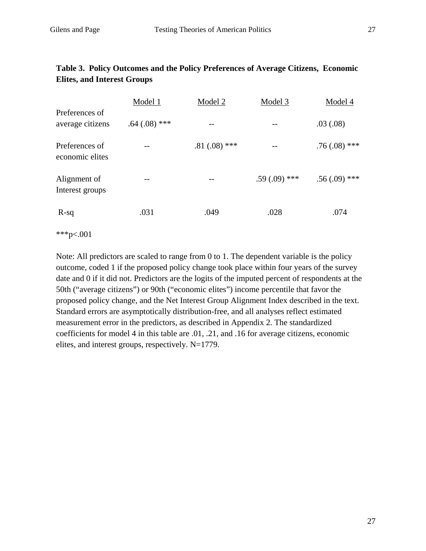| Entes, and meet est Groups         |                 |                |                |                |  |
|------------------------------------|-----------------|----------------|----------------|----------------|--|
|                                    | Model 1         | Model 2        | Model 3        | Model 4        |  |
| Preferences of<br>average citizens | .64 $(.08)$ *** |                |                | .03(.08)       |  |
| Preferences of<br>economic elites  |                 | $.81(.08)$ *** |                | $.76(.08)$ *** |  |
| Alignment of<br>Interest groups    | --              |                | $.59(.09)$ *** | $.56(.09)$ *** |  |
| $R-sq$                             | .031            | .049           | .028           | .074           |  |

# **Table 3. Policy Outcomes and the Policy Preferences of Average Citizens, Economic Elites, and Interest Groups**

\*\*\*p<.001

Note: All predictors are scaled to range from 0 to 1. The dependent variable is the policy outcome, coded 1 if the proposed policy change took place within four years of the survey date and 0 if it did not. Predictors are the logits of the imputed percent of respondents at the 50th ("average citizens") or 90th ("economic elites") income percentile that favor the proposed policy change, and the Net Interest Group Alignment Index described in the text. Standard errors are asymptotically distribution-free, and all analyses reflect estimated measurement error in the predictors, as described in Appendix 2. The standardized coefficients for model 4 in this table are .01, .21, and .16 for average citizens, economic elites, and interest groups, respectively. N=1779.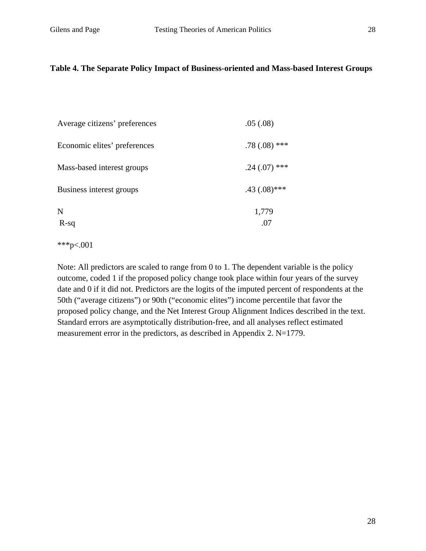### **Table 4. The Separate Policy Impact of Business-oriented and Mass-based Interest Groups**

| N<br>$R-sq$                   | 1,779<br>.07      |
|-------------------------------|-------------------|
| Business interest groups      | $.43 \,(.08)$ *** |
| Mass-based interest groups    | $.24(.07)$ ***    |
| Economic elites' preferences  | $.78(.08)$ ***    |
| Average citizens' preferences | .05(.08)          |

\*\*\*p<.001

Note: All predictors are scaled to range from 0 to 1. The dependent variable is the policy outcome, coded 1 if the proposed policy change took place within four years of the survey date and 0 if it did not. Predictors are the logits of the imputed percent of respondents at the 50th ("average citizens") or 90th ("economic elites") income percentile that favor the proposed policy change, and the Net Interest Group Alignment Indices described in the text. Standard errors are asymptotically distribution-free, and all analyses reflect estimated measurement error in the predictors, as described in Appendix 2. N=1779.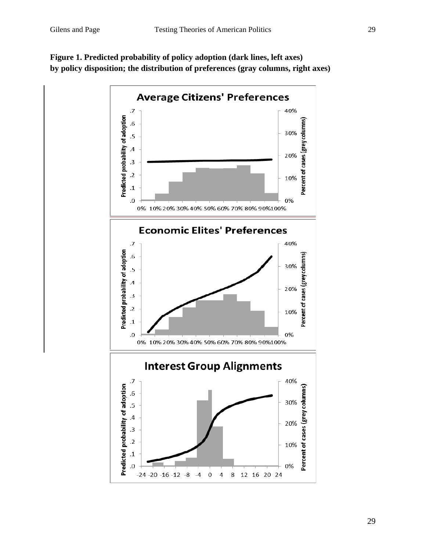

**Figure 1. Predicted probability of policy adoption (dark lines, left axes) by policy disposition; the distribution of preferences (gray columns, right axes)**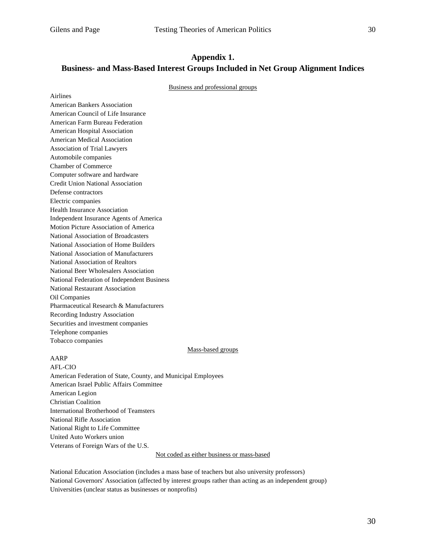# **Appendix 1. Business- and Mass-Based Interest Groups Included in Net Group Alignment Indices**

Business and professional groups

Airlines American Bankers Association American Council of Life Insurance American Farm Bureau Federation American Hospital Association American Medical Association Association of Trial Lawyers Automobile companies Chamber of Commerce Computer software and hardware Credit Union National Association Defense contractors Electric companies Health Insurance Association Independent Insurance Agents of America Motion Picture Association of America National Association of Broadcasters National Association of Home Builders National Association of Manufacturers National Association of Realtors National Beer Wholesalers Association National Federation of Independent Business National Restaurant Association Oil Companies Pharmaceutical Research & Manufacturers Recording Industry Association Securities and investment companies Telephone companies Tobacco companies

#### Mass-based groups

#### AARP

AFL-CIO American Federation of State, County, and Municipal Employees American Israel Public Affairs Committee American Legion Christian Coalition International Brotherhood of Teamsters National Rifle Association National Right to Life Committee United Auto Workers union Veterans of Foreign Wars of the U.S.

Not coded as either business or mass-based

National Education Association (includes a mass base of teachers but also university professors) National Governors' Association (affected by interest groups rather than acting as an independent group) Universities (unclear status as businesses or nonprofits)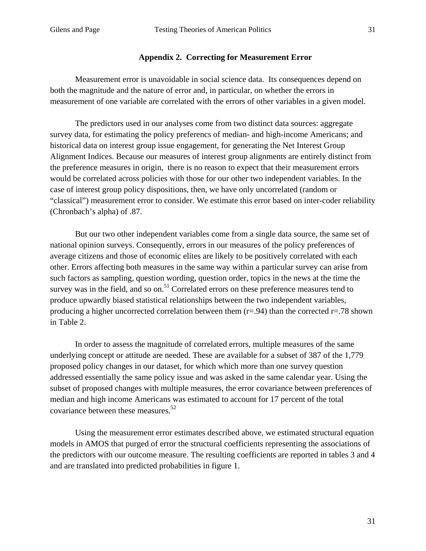# **Appendix 2. Correcting for Measurement Error**

Measurement error is unavoidable in social science data. Its consequences depend on both the magnitude and the nature of error and, in particular, on whether the errors in measurement of one variable are correlated with the errors of other variables in a given model.

The predictors used in our analyses come from two distinct data sources: aggregate survey data, for estimating the policy preferencs of median- and high-income Americans; and historical data on interest group issue engagement, for generating the Net Interest Group Alignment Indices. Because our measures of interest group alignments are entirely distinct from the preference measures in origin, there is no reason to expect that their measurement errors would be correlated across policies with those for our other two independent variables. In the case of interest group policy dispositions, then, we have only uncorrelated (random or "classical") measurement error to consider. We estimate this error based on inter-coder reliability (Chronbach's alpha) of .87.

But our two other independent variables come from a single data source, the same set of national opinion surveys. Consequently, errors in our measures of the policy preferences of average citizens and those of economic elites are likely to be positively correlated with each other. Errors affecting both measures in the same way within a particular survey can arise from such factors as sampling, question wording, question order, topics in the news at the time the survey was in the field, and so on.<sup>51</sup> Correlated errors on these preference measures tend to produce upwardly biased statistical relationships between the two independent variables, producing a higher uncorrected correlation between them  $(r=0.94)$  than the corrected r=.78 shown in Table 2.

In order to assess the magnitude of correlated errors, multiple measures of the same underlying concept or attitude are needed. These are available for a subset of 387 of the 1,779 proposed policy changes in our dataset, for which which more than one survey question addressed essentially the same policy issue and was asked in the same calendar year. Using the subset of proposed changes with multiple measures, the error covariance between preferences of median and high income Americans was estimated to account for 17 percent of the total covariance between these measures.<sup>52</sup>

Using the measurement error estimates described above, we estimated structural equation models in AMOS that purged of error the structural coefficients representing the associations of the predictors with our outcome measure. The resulting coefficients are reported in tables 3 and 4 and are translated into predicted probabilities in figure 1.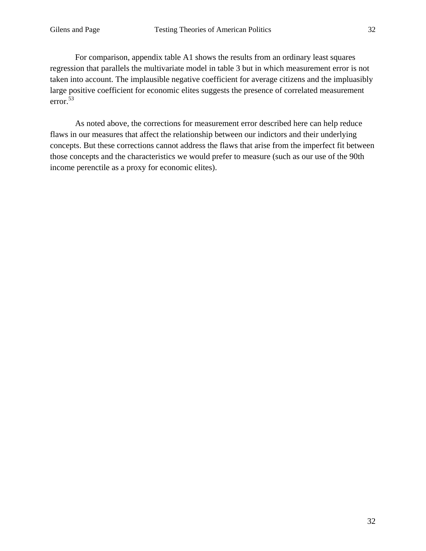For comparison, appendix table A1 shows the results from an ordinary least squares regression that parallels the multivariate model in table 3 but in which measurement error is not taken into account. The implausible negative coefficient for average citizens and the impluasibly large positive coefficient for economic elites suggests the presence of correlated measurement error.53

As noted above, the corrections for measurement error described here can help reduce flaws in our measures that affect the relationship between our indictors and their underlying concepts. But these corrections cannot address the flaws that arise from the imperfect fit between those concepts and the characteristics we would prefer to measure (such as our use of the 90th income perenctile as a proxy for economic elites).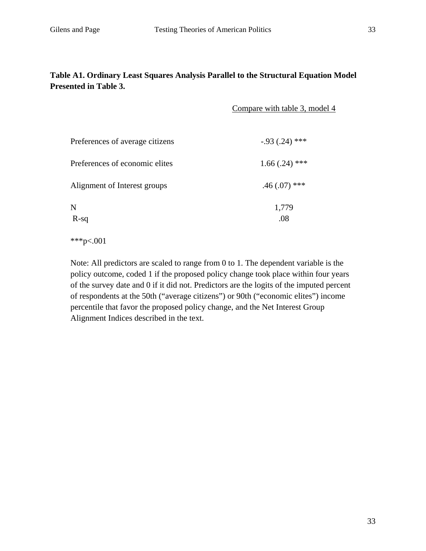# **Table A1. Ordinary Least Squares Analysis Parallel to the Structural Equation Model Presented in Table 3.**

|                                 | Compare with table 3, model 4 |
|---------------------------------|-------------------------------|
| Preferences of average citizens | $-.93(.24)$ ***               |
| Preferences of economic elites  | $1.66(.24)$ ***               |
| Alignment of Interest groups    | $.46(.07)$ ***                |
| N<br>$R-sq$                     | 1,779<br>.08                  |

\*\*\*p<.001

Note: All predictors are scaled to range from 0 to 1. The dependent variable is the policy outcome, coded 1 if the proposed policy change took place within four years of the survey date and 0 if it did not. Predictors are the logits of the imputed percent of respondents at the 50th ("average citizens") or 90th ("economic elites") income percentile that favor the proposed policy change, and the Net Interest Group Alignment Indices described in the text.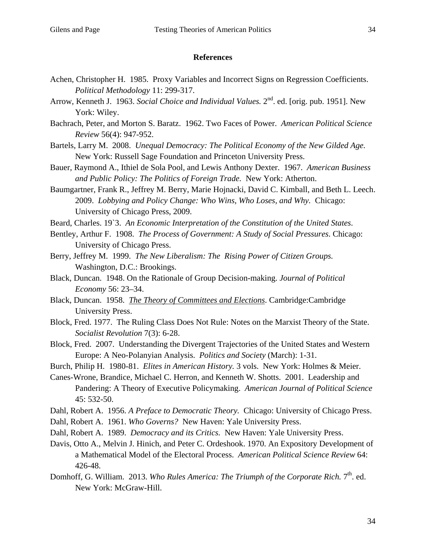#### **References**

- Achen, Christopher H. 1985. Proxy Variables and Incorrect Signs on Regression Coefficients. *Political Methodology* 11: 299-317.
- Arrow, Kenneth J. 1963. *Social Choice and Individual Values.* 2<sup>nd</sup>. ed. [orig. pub. 1951]. New York: Wiley.
- Bachrach, Peter, and Morton S. Baratz. 1962. Two Faces of Power. *American Political Science Review* 56(4): 947-952.
- Bartels, Larry M. 2008. *Unequal Democracy: The Political Economy of the New Gilded Age.* New York: Russell Sage Foundation and Princeton University Press.
- Bauer, Raymond A., Ithiel de Sola Pool, and Lewis Anthony Dexter. 1967. *American Business and Public Policy: The Politics of Foreign Trade.* New York: Atherton.
- Baumgartner, Frank R., Jeffrey M. Berry, Marie Hojnacki, David C. Kimball, and Beth L. Leech. 2009. *Lobbying and Policy Change: Who Wins, Who Loses, and Why.* Chicago: University of Chicago Press, 2009.
- Beard, Charles. 19`3. *An Economic Interpretation of the Constitution of the United States*.
- Bentley, Arthur F. 1908. *The Process of Government: A Study of Social Pressures*. Chicago: University of Chicago Press.
- Berry, Jeffrey M. 1999. *The New Liberalism: The Rising Power of Citizen Groups.* Washington, D.C.: Brookings.
- Black, Duncan. 1948. On the Rationale of Group Decision-making. *Journal of Political Economy* 56: 23–34.
- Black, Duncan. 1958. *The Theory of Committees and Elections*. Cambridge:Cambridge University Press.
- Block, Fred. 1977. The Ruling Class Does Not Rule: Notes on the Marxist Theory of the State. *Socialist Revolution* 7(3): 6-28.
- Block, Fred. 2007. Understanding the Divergent Trajectories of the United States and Western Europe: A Neo-Polanyian Analysis. *Politics and Society* (March): 1-31.
- Burch, Philip H. 1980-81. *Elites in American History.* 3 vols.New York: Holmes & Meier.
- Canes-Wrone, Brandice, Michael C. Herron, and Kenneth W. Shotts. 2001. Leadership and Pandering: A Theory of Executive Policymaking. *American Journal of Political Science* 45: 532-50.
- Dahl, Robert A. 1956. *A Preface to Democratic Theory.* Chicago: University of Chicago Press.
- Dahl, Robert A. 1961. *Who Governs?* New Haven: Yale University Press.
- Dahl, Robert A. 1989. *Democracy and its Critics.* New Haven: Yale University Press.
- Davis, Otto A., Melvin J. Hinich, and Peter C. Ordeshook. 1970. An Expository Development of a Mathematical Model of the Electoral Process. *American Political Science Review* 64: 426-48.
- Domhoff, G. William. 2013. *Who Rules America: The Triumph of the Corporate Rich.* 7<sup>th</sup>. ed. New York: McGraw-Hill.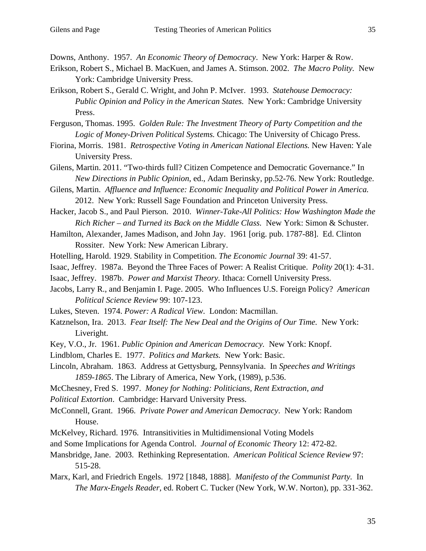Downs, Anthony. 1957. *An Economic Theory of Democracy*. New York: Harper & Row.

- Erikson, Robert S., Michael B. MacKuen, and James A. Stimson. 2002. *The Macro Polity.* New York: Cambridge University Press.
- Erikson, Robert S., Gerald C. Wright, and John P. McIver. 1993. *Statehouse Democracy: Public Opinion and Policy in the American States.* New York: Cambridge University Press.
- Ferguson, Thomas. 1995. *Golden Rule: The Investment Theory of Party Competition and the Logic of Money-Driven Political Systems.* Chicago: The University of Chicago Press.
- Fiorina, Morris. 1981. *Retrospective Voting in American National Elections.* New Haven: Yale University Press.
- Gilens, Martin. 2011. "Two-thirds full? Citizen Competence and Democratic Governance." In *New Directions in Public Opinion*, ed., Adam Berinsky, pp.52-76. New York: Routledge.
- Gilens, Martin. *Affluence and Influence: Economic Inequality and Political Power in America.* 2012. New York: Russell Sage Foundation and Princeton University Press.
- Hacker, Jacob S., and Paul Pierson. 2010. *Winner-Take-All Politics: How Washington Made the Rich Richer – and Turned its Back on the Middle Class.* New York: Simon & Schuster.
- Hamilton, Alexander, James Madison, and John Jay. 1961 [orig. pub. 1787-88]. Ed. Clinton Rossiter. New York: New American Library.
- Hotelling, Harold. 1929. Stability in Competition. *The Economic Journal* 39: 41-57.
- Isaac, Jeffrey. 1987a. Beyond the Three Faces of Power: A Realist Critique. *Polity* 20(1): 4-31.
- Isaac, Jeffrey. 1987b. *Power and Marxist Theory.* Ithaca: Cornell University Press.
- Jacobs, Larry R., and Benjamin I. Page. 2005. Who Influences U.S. Foreign Policy? *American Political Science Review* 99: 107-123.
- Lukes, Steven. 1974. *Power: A Radical View*. London: Macmillan.
- Katznelson, Ira. 2013. *Fear Itself: The New Deal and the Origins of Our Time.* New York: Liveright.
- Key, V.O., Jr. 1961. *Public Opinion and American Democracy.* New York: Knopf.
- Lindblom, Charles E. 1977. *Politics and Markets.* New York: Basic.
- Lincoln, Abraham. 1863. Address at Gettysburg, Pennsylvania. In *Speeches and Writings 1859-1865*. The Library of America, New York, (1989), p.536.
- McChesney, Fred S. 1997. *Money for Nothing: Politicians, Rent Extraction, and*
- *Political Extortion*. Cambridge: Harvard University Press.
- McConnell, Grant. 1966. *Private Power and American Democracy*. New York: Random House.
- McKelvey, Richard. 1976. Intransitivities in Multidimensional Voting Models
- and Some Implications for Agenda Control. *Journal of Economic Theory* 12: 472-82.
- Mansbridge, Jane. 2003. Rethinking Representation. *American Political Science Review* 97: 515-28.
- Marx, Karl, and Friedrich Engels. 1972 [1848, 1888]. *Manifesto of the Communist Party.* In *The Marx-Engels Reader*, ed. Robert C. Tucker (New York, W.W. Norton), pp. 331-362.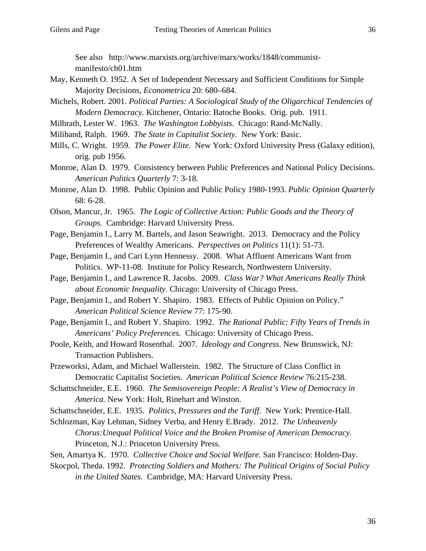See also http://www.marxists.org/archive/marx/works/1848/communist-

manifesto/ch01.htm

- May, Kenneth O. 1952. A Set of Independent Necessary and Sufficient Conditions for Simple Majority Decisions, *Econometrica* 20: 680–684.
- Michels, Robert. 2001. *Political Parties: A Sociological Study of the Oligarchical Tendencies of Modern Democracy.* Kitchener, Ontario: Batoche Books. Orig. pub. 1911.
- Milbrath, Lester W. 1963. *The Washington Lobbyists*. Chicago: Rand-McNally.
- Miliband, Ralph. 1969. *The State in Capitalist Society.* New York: Basic.
- Mills, C. Wright. 1959. *The Power Elite.* New York: Oxford University Press (Galaxy edition), orig. pub 1956.
- Monroe, Alan D. 1979. Consistency between Public Preferences and National Policy Decisions. *American Politics Quarterly* 7: 3-18.
- Monroe, Alan D. 1998. Public Opinion and Public Policy 1980-1993. *Public Opinion Quarterly* 68: 6-28.
- Olson, Mancur, Jr. 1965. *The Logic of Collective Action: Public Goods and the Theory of Groups.* Cambridge: Harvard University Press.
- Page, Benjamin I., Larry M. Bartels, and Jason Seawright. 2013. Democracy and the Policy Preferences of Wealthy Americans. *Perspectives on Politics* 11(1): 51-73.
- Page, Benjamin I., and Cari Lynn Hennessy. 2008. What Affluent Americans Want from Politics. WP-11-08. Institute for Policy Research, Northwestern University.
- Page, Benjamin I., and Lawrence R. Jacobs. 2009. *Class War? What Americans Really Think about Economic Inequality.* Chicago: University of Chicago Press.
- Page, Benjamin I., and Robert Y. Shapiro. 1983. Effects of Public Opinion on Policy." *American Political Science Review* 77: 175-90.
- Page, Benjamin I., and Robert Y. Shapiro. 1992. *The Rational Public: Fifty Years of Trends in Americans' Policy Preferences.* Chicago: University of Chicago Press.
- Poole, Keith, and Howard Rosenthal. 2007. *Ideology and Congress*. New Brunswick, NJ: Transaction Publishers.
- Przeworksi, Adam, and Michael Wallerstein. 1982. The Structure of Class Conflict in Democratic Capitalist Societies. *American Political Science Review* 76:215-238.
- Schattschneider, E.E. 1960. *The Semisovereign People: A Realist's View of Democracy in America.* New York: Holt, Rinehart and Winston.
- Schattschneider, E.E. 1935. *Politics, Pressures and the Tariff*. New York: Prentice-Hall.
- Schlozman, Kay Lehman, Sidney Verba, and Henry E.Brady. 2012. *The Unheavenly Chorus:Unequal Political Voice and the Broken Promise of American Democracy.* Princeton, N.J.: Princeton University Press.
- Sen, Amartya K. 1970. *Collective Choice and Social Welfare.* San Francisco: Holden-Day.
- Skocpol, Theda. 1992. *Protecting Soldiers and Mothers: The Political Origins of Social Policy in the United States.* Cambridge, MA: Harvard University Press.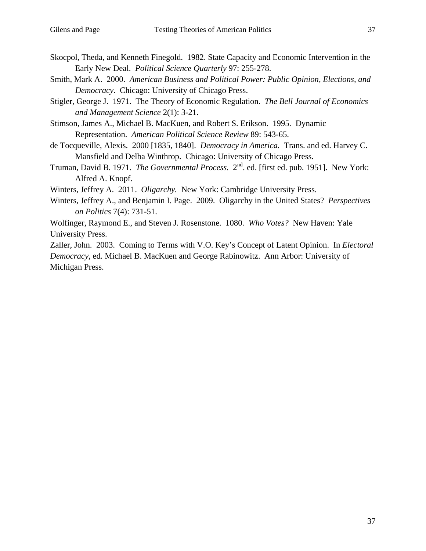- Skocpol, Theda, and Kenneth Finegold. 1982. State Capacity and Economic Intervention in the Early New Deal. *Political Science Quarterly* 97: 255-278.
- Smith, Mark A. 2000. *American Business and Political Power: Public Opinion, Elections, and Democracy*. Chicago: University of Chicago Press.
- Stigler, George J. 1971. The Theory of Economic Regulation. *The Bell Journal of Economics and Management Science* 2(1): 3-21.
- Stimson, James A., Michael B. MacKuen, and Robert S. Erikson. 1995. Dynamic Representation. *American Political Science Review* 89: 543-65.
- de Tocqueville, Alexis. 2000 [1835, 1840]. *Democracy in America.* Trans. and ed. Harvey C. Mansfield and Delba Winthrop. Chicago: University of Chicago Press.
- Truman, David B. 1971. *The Governmental Process.* 2<sup>nd</sup>. ed. [first ed. pub. 1951]. New York: Alfred A. Knopf.
- Winters, Jeffrey A. 2011. *Oligarchy.* New York: Cambridge University Press.
- Winters, Jeffrey A., and Benjamin I. Page. 2009. Oligarchy in the United States? *Perspectives on Politics* 7(4): 731-51.
- Wolfinger, Raymond E., and Steven J. Rosenstone. 1080. *Who Votes?* New Haven: Yale University Press.

Zaller, John. 2003. Coming to Terms with V.O. Key's Concept of Latent Opinion. In *Electoral Democracy,* ed. Michael B. MacKuen and George Rabinowitz. Ann Arbor: University of Michigan Press.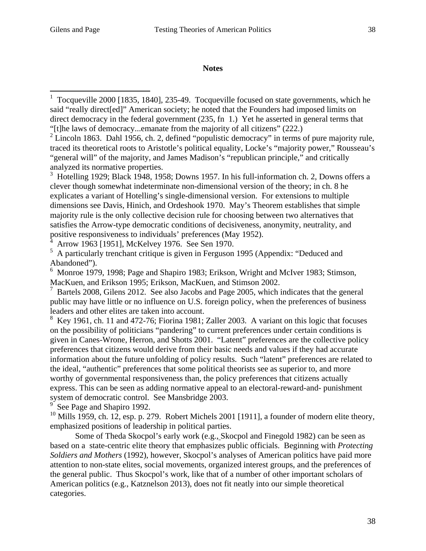1

#### **Notes**

<sup>3</sup> Hotelling 1929; Black 1948, 1958; Downs 1957. In his full-information ch. 2, Downs offers a clever though somewhat indeterminate non-dimensional version of the theory; in ch. 8 he explicates a variant of Hotelling's single-dimensional version. For extensions to multiple dimensions see Davis, Hinich, and Ordeshook 1970. May's Theorem establishes that simple majority rule is the only collective decision rule for choosing between two alternatives that satisfies the Arrow-type democratic conditions of decisiveness, anonymity, neutrality, and positive responsiveness to individuals' preferences (May 1952).

4 Arrow 1963 [1951], McKelvey 1976. See Sen 1970.

5 A particularly trenchant critique is given in Ferguson 1995 (Appendix: "Deduced and Abandoned").

<sup>6</sup> Monroe 1979, 1998; Page and Shapiro 1983; Erikson, Wright and McIver 1983; Stimson, MacKuen, and Erikson 1995; Erikson, MacKuen, and Stimson 2002.

7 Bartels 2008, Gilens 2012. See also Jacobs and Page 2005, which indicates that the general public may have little or no influence on U.S. foreign policy, when the preferences of business leaders and other elites are taken into account.

 $8\,$  Key 1961, ch. 11 and 472-76; Fiorina 1981; Zaller 2003. A variant on this logic that focuses on the possibility of politicians "pandering" to current preferences under certain conditions is given in Canes-Wrone, Herron, and Shotts 2001. "Latent" preferences are the collective policy preferences that citizens would derive from their basic needs and values if they had accurate information about the future unfolding of policy results. Such "latent" preferences are related to the ideal, "authentic" preferences that some political theorists see as superior to, and more worthy of governmental responsiveness than, the policy preferences that citizens actually express. This can be seen as adding normative appeal to an electoral-reward-and- punishment system of democratic control. See Mansbridge 2003.

9 See Page and Shapiro 1992.

<sup>10</sup> Mills 1959, ch. 12, esp. p. 279. Robert Michels 2001 [1911], a founder of modern elite theory, emphasized positions of leadership in political parties.

Some of Theda Skocpol's early work (e.g., Skocpol and Finegold 1982) can be seen as based on a state-centric elite theory that emphasizes public officials. Beginning with *Protecting Soldiers and Mothers* (1992), however, Skocpol's analyses of American politics have paid more attention to non-state elites, social movements, organized interest groups, and the preferences of the general public. Thus Skocpol's work, like that of a number of other important scholars of American politics (e.g., Katznelson 2013), does not fit neatly into our simple theoretical categories.

<sup>1</sup> Tocqueville 2000 [1835, 1840], 235-49. Tocqueville focused on state governments, which he said "really direct[ed]" American society; he noted that the Founders had imposed limits on direct democracy in the federal government (235, fn 1.) Yet he asserted in general terms that "[t]he laws of democracy...emanate from the majority of all citizens" (222.)

 $2 \text{ Lincoln } 1863$ . Dahl 1956, ch. 2, defined "populistic democracy" in terms of pure majority rule, traced its theoretical roots to Aristotle's political equality, Locke's "majority power," Rousseau's "general will" of the majority, and James Madison's "republican principle," and critically analyzed its normative properties.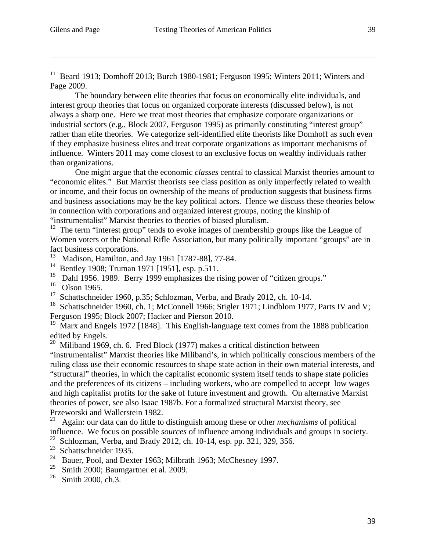$\overline{a}$ 

<sup>11</sup> Beard 1913; Domhoff 2013; Burch 1980-1981; Ferguson 1995; Winters 2011; Winters and Page 2009.

The boundary between elite theories that focus on economically elite individuals, and interest group theories that focus on organized corporate interests (discussed below), is not always a sharp one. Here we treat most theories that emphasize corporate organizations or industrial sectors (e.g., Block 2007, Ferguson 1995) as primarily constituting "interest group" rather than elite theories. We categorize self-identified elite theorists like Domhoff as such even if they emphasize business elites and treat corporate organizations as important mechanisms of influence. Winters 2011 may come closest to an exclusive focus on wealthy individuals rather than organizations.

One might argue that the economic *classes* central to classical Marxist theories amount to "economic elites." But Marxist theorists see class position as only imperfectly related to wealth or income, and their focus on ownership of the means of production suggests that business firms and business associations may be the key political actors. Hence we discuss these theories below in connection with corporations and organized interest groups, noting the kinship of "instrumentalist" Marxist theories to theories of biased pluralism.

 $12$  The term "interest group" tends to evoke images of membership groups like the League of Women voters or the National Rifle Association, but many politically important "groups" are in fact business corporations.

<sup>13</sup> Madison, Hamilton, and Jay 1961 [1787-88], 77-84.

- <sup>14</sup> Bentley 1908; Truman 1971 [1951], esp. p.511.<br><sup>15</sup> Debt 1056, 1080, Borry 1000 emphasizes the ri
- Dahl 1956. 1989. Berry 1999 emphasizes the rising power of "citizen groups."

 $\frac{16}{17}$  Olson 1965.

Schattschneider 1960, p.35; Schlozman, Verba, and Brady 2012, ch. 10-14.

<sup>18</sup> Schattschneider 1960, ch. 1; McConnell 1966; Stigler 1971; Lindblom 1977, Parts IV and V; Ferguson 1995; Block 2007; Hacker and Pierson 2010.

<sup>19</sup> Marx and Engels 1972 [1848]. This English-language text comes from the 1888 publication edited by Engels.

<sup>20</sup> Miliband 1969, ch. 6. Fred Block (1977) makes a critical distinction between

"instrumentalist" Marxist theories like Miliband's, in which politically conscious members of the ruling class use their economic resources to shape state action in their own material interests, and "structural" theories, in which the capitalist economic system itself tends to shape state policies and the preferences of its citizens – including workers, who are compelled to accept low wages and high capitalist profits for the sake of future investment and growth. On alternative Marxist theories of power, see also Isaac 1987b. For a formalized structural Marxist theory, see Przeworski and Wallerstein 1982.<br><sup>21</sup> Again: our data can do little to

21 Again: our data can do little to distinguish among these or other *mechanisms* of political influence. We focus on possible *sources* of influence among individuals and groups in society.

22 Schlozman, Verba, and Brady 2012, ch. 10-14, esp. pp. 321, 329, 356.

 $^{23}$  Schattschneider 1935.

- <sup>24</sup> Bauer, Pool, and Dexter 1963; Milbrath 1963; McChesney 1997.<br><sup>25</sup> Smith 2000: Baumortner et al. 2000.
- <sup>25</sup> Smith 2000; Baumgartner et al. 2009.<br><sup>26</sup> Smith 2000, ch<sup>2</sup>
- Smith 2000, ch.3.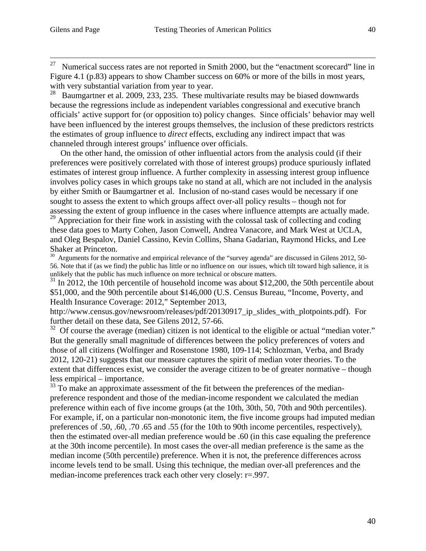<sup>27</sup> Numerical success rates are not reported in Smith 2000, but the "enactment scorecard" line in Figure 4.1 (p.83) appears to show Chamber success on 60% or more of the bills in most years, with very substantial variation from year to year.

<sup>28</sup> Baumgartner et al. 2009, 233, 235. These multivariate results may be biased downwards because the regressions include as independent variables congressional and executive branch officials' active support for (or opposition to) policy changes. Since officials' behavior may well have been influenced by the interest groups themselves, the inclusion of these predictors restricts the estimates of group influence to *direct* effects, excluding any indirect impact that was channeled through interest groups' influence over officials.

 On the other hand, the omission of other influential actors from the analysis could (if their preferences were positively correlated with those of interest groups) produce spuriously inflated estimates of interest group influence. A further complexity in assessing interest group influence involves policy cases in which groups take no stand at all, which are not included in the analysis by either Smith or Baumgartner et al. Inclusion of no-stand cases would be necessary if one sought to assess the extent to which groups affect over-all policy results – though not for assessing the extent of group influence in the cases where influence attempts are actually made.

<sup>29</sup> Appreciation for their fine work in assisting with the colossal task of collecting and coding these data goes to Marty Cohen, Jason Conwell, Andrea Vanacore, and Mark West at UCLA, and Oleg Bespalov, Daniel Cassino, Kevin Collins, Shana Gadarian, Raymond Hicks, and Lee Shaker at Princeton.

 $30$  Arguments for the normative and empirical relevance of the "survey agenda" are discussed in Gilens 2012, 50-56. Note that if (as we find) the public has little or no influence on our issues, which tilt toward high salience, it is unlikely that the public has much influence on more technical or obscure matters.

 $31$  In 2012, the 10th percentile of household income was about \$12,200, the 50th percentile about \$51,000, and the 90th percentile about \$146,000 (U.S. Census Bureau, "Income, Poverty, and Health Insurance Coverage: 2012," September 2013,

http://www.census.gov/newsroom/releases/pdf/20130917\_ip\_slides\_with\_plotpoints.pdf). For further detail on these data, See Gilens 2012, 57-66.

 $32$  Of course the average (median) citizen is not identical to the eligible or actual "median voter." But the generally small magnitude of differences between the policy preferences of voters and those of all citizens (Wolfinger and Rosenstone 1980, 109-114; Schlozman, Verba, and Brady 2012, 120-21) suggests that our measure captures the spirit of median voter theories. To the extent that differences exist, we consider the average citizen to be of greater normative – though less empirical – importance.

<sup>33</sup> To make an approximate assessment of the fit between the preferences of the medianpreference respondent and those of the median-income respondent we calculated the median preference within each of five income groups (at the 10th, 30th, 50, 70th and 90th percentiles). For example, if, on a particular non-monotonic item, the five income groups had imputed median preferences of .50, .60, .70 .65 and .55 (for the 10th to 90th income percentiles, respectively), then the estimated over-all median preference would be .60 (in this case equaling the preference at the 30th income percentile). In most cases the over-all median preference is the same as the median income (50th percentile) preference. When it is not, the preference differences across income levels tend to be small. Using this technique, the median over-all preferences and the median-income preferences track each other very closely: r=.997.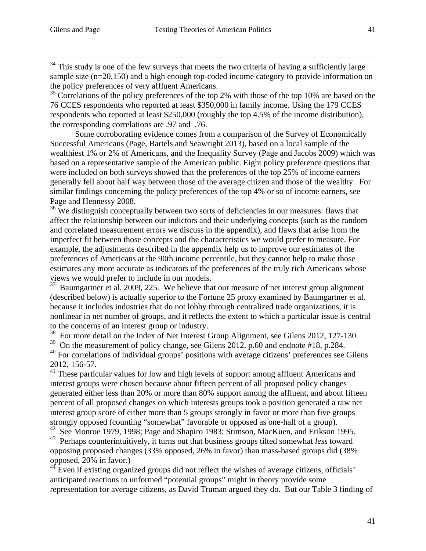$34$  This study is one of the few surveys that meets the two criteria of having a sufficiently large sample size (n=20,150) and a high enough top-coded income category to provide information on the policy preferences of very affluent Americans.

 $35$  Correlations of the policy preferences of the top 2% with those of the top 10% are based on the 76 CCES respondents who reported at least \$350,000 in family income. Using the 179 CCES respondents who reported at least \$250,000 (roughly the top 4.5% of the income distribution), the corresponding correlations are .97 and .76.

Some corroborating evidence comes from a comparison of the Survey of Economically Successful Americans (Page, Bartels and Seawright 2013), based on a local sample of the wealthiest 1% or 2% of Americans, and the Inequality Survey (Page and Jacobs 2009) which was based on a representative sample of the American public. Eight policy preference questions that were included on both surveys showed that the preferences of the top 25% of income earners generally fell about half way between those of the average citizen and those of the wealthy. For similar findings concerning the policy preferences of the top 4% or so of income earners, see Page and Hennessy 2008.

<sup>36</sup> We distinguish conceptually between two sorts of deficiencies in our measures: flaws that affect the relationship between our indictors and their underlying concepts (such as the random and correlated measurement errors we discuss in the appendix), and flaws that arise from the imperfect fit between those concepts and the characteristics we would prefer to measure. For example, the adjustments described in the appendix help us to improve our estimates of the preferences of Americans at the 90th income percentile, but they cannot help to make those estimates any more accurate as indicators of the preferences of the truly rich Americans whose views we would prefer to include in our models.

 $37$  Baumgartner et al. 2009, 225. We believe that our measure of net interest group alignment (described below) is actually superior to the Fortune 25 proxy examined by Baumgartner et al. because it includes industries that do not lobby through centralized trade organizations, it is nonlinear in net number of groups, and it reflects the extent to which a particular issue is central to the concerns of an interest group or industry.

<sup>38</sup> For more detail on the Index of Net Interest Group Alignment, see Gilens 2012, 127-130.

<sup>39</sup> On the measurement of policy change, see Gilens 2012, p.60 and endnote #18, p.284. <sup>40</sup> For correlations of individual groups' positions with average citizens' preferences see Gilens 2012, 156-57.

 $41$  These particular values for low and high levels of support among affluent Americans and interest groups were chosen because about fifteen percent of all proposed policy changes generated either less than 20% or more than 80% support among the affluent, and about fifteen percent of all proposed changes on which interests groups took a position generated a raw net interest group score of either more than 5 groups strongly in favor or more than five groups strongly opposed (counting "somewhat" favorable or opposed as one-half of a group).

<sup>42</sup> See Monroe 1979, 1998; Page and Shapiro 1983; Stimson, MacKuen, and Erikson 1995. 43 Perhaps counterintuitively, it turns out that business groups tilted somewhat *less* toward opposing proposed changes (33% opposed, 26% in favor) than mass-based groups did (38%

opposed, 20% in favor.)  $44$  Even if existing organized groups did not reflect the wishes of average citizens, officials' anticipated reactions to unformed "potential groups" might in theory provide some representation for average citizens, as David Truman argued they do. But our Table 3 finding of